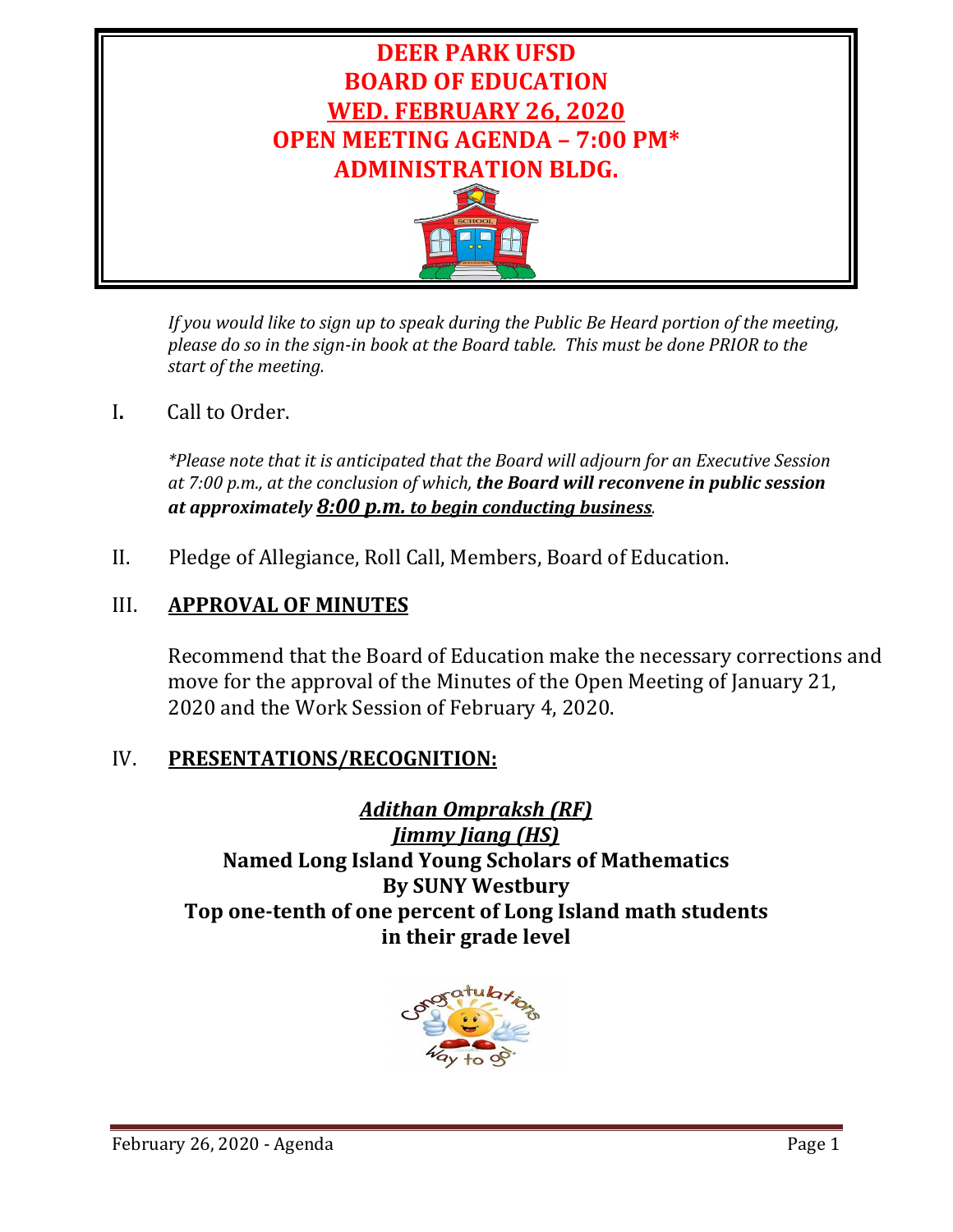

*If you would like to sign up to speak during the Public Be Heard portion of the meeting, please do so in the sign-in book at the Board table. This must be done PRIOR to the start of the meeting.* 

I**.** Call to Order.

*\*Please note that it is anticipated that the Board will adjourn for an Executive Session at 7:00 p.m., at the conclusion of which, the Board will reconvene in public session at approximately 8:00 p.m. to begin conducting business.*

II. Pledge of Allegiance, Roll Call, Members, Board of Education.

# III. **APPROVAL OF MINUTES**

Recommend that the Board of Education make the necessary corrections and move for the approval of the Minutes of the Open Meeting of January 21, 2020 and the Work Session of February 4, 2020.

# IV. **PRESENTATIONS/RECOGNITION:**

*Adithan Ompraksh (RF) Jimmy Jiang (HS)* **Named Long Island Young Scholars of Mathematics By SUNY Westbury Top one-tenth of one percent of Long Island math students in their grade level**

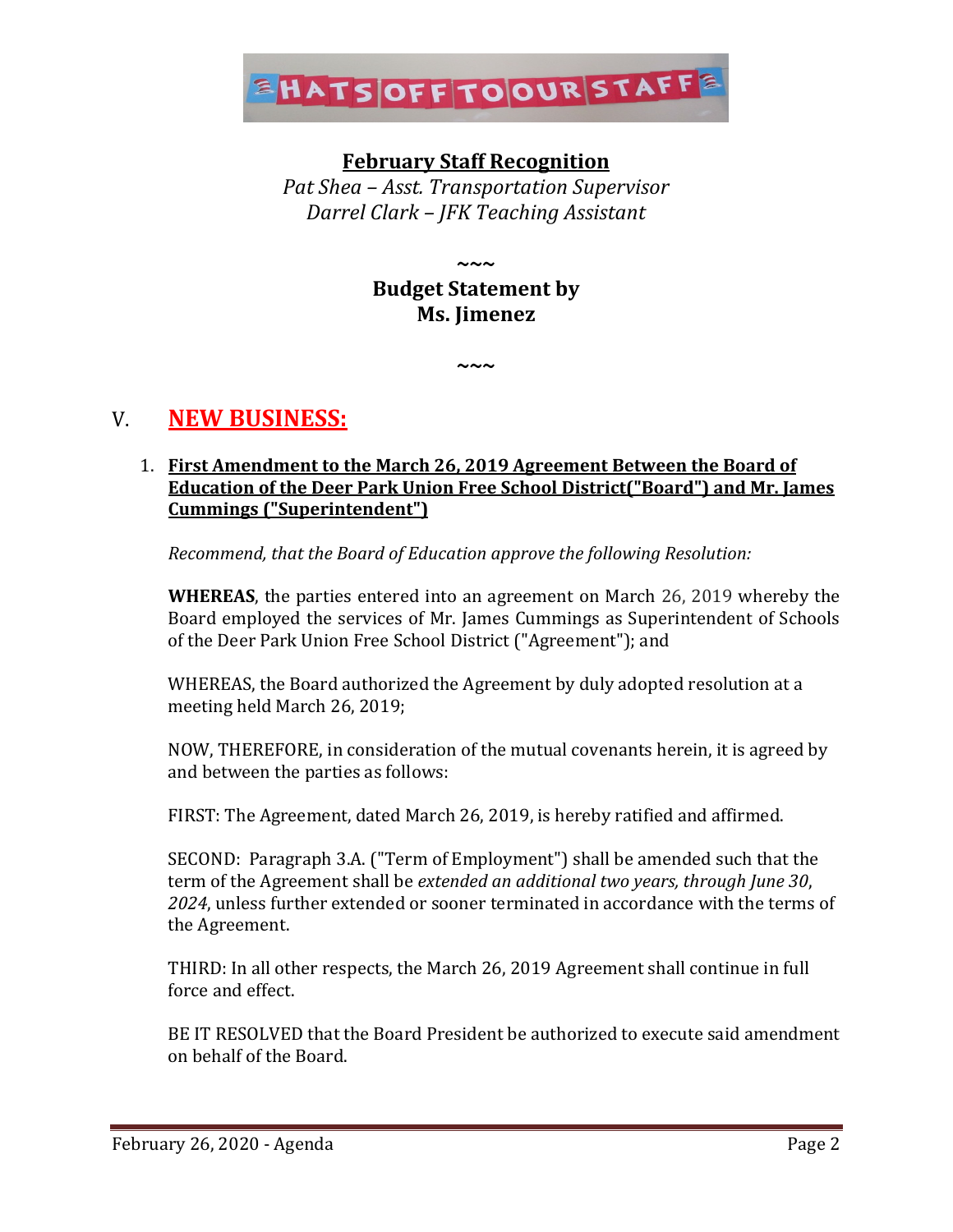

# **February Staff Recognition**

*Pat Shea – Asst. Transportation Supervisor Darrel Clark – JFK Teaching Assistant*

> **~~~ Budget Statement by Ms. Jimenez**

> > **~~~**

V. **NEW BUSINESS:**

### 1. **First Amendment to the March 26, 2019 Agreement Between the Board of Education of the Deer Park Union Free School District("Board") and Mr. James Cummings ("Superintendent")**

*Recommend, that the Board of Education approve the following Resolution:*

**WHEREAS**, the parties entered into an agreement on March 26, 2019 whereby the Board employed the services of Mr. James Cummings as Superintendent of Schools of the Deer Park Union Free School District ("Agreement"); and

WHEREAS, the Board authorized the Agreement by duly adopted resolution at a meeting held March 26, 2019;

NOW, THEREFORE, in consideration of the mutual covenants herein, it is agreed by and between the parties as follows:

FIRST: The Agreement, dated March 26, 2019, is hereby ratified and affirmed.

SECOND: Paragraph 3.A. ("Term of Employment") shall be amended such that the term of the Agreement shall be *extended an additional two years, through June 30*, *2024*, unless further extended or sooner terminated in accordance with the terms of the Agreement.

THIRD: In all other respects, the March 26, 2019 Agreement shall continue in full force and effect.

BE IT RESOLVED that the Board President be authorized to execute said amendment on behalf of the Board.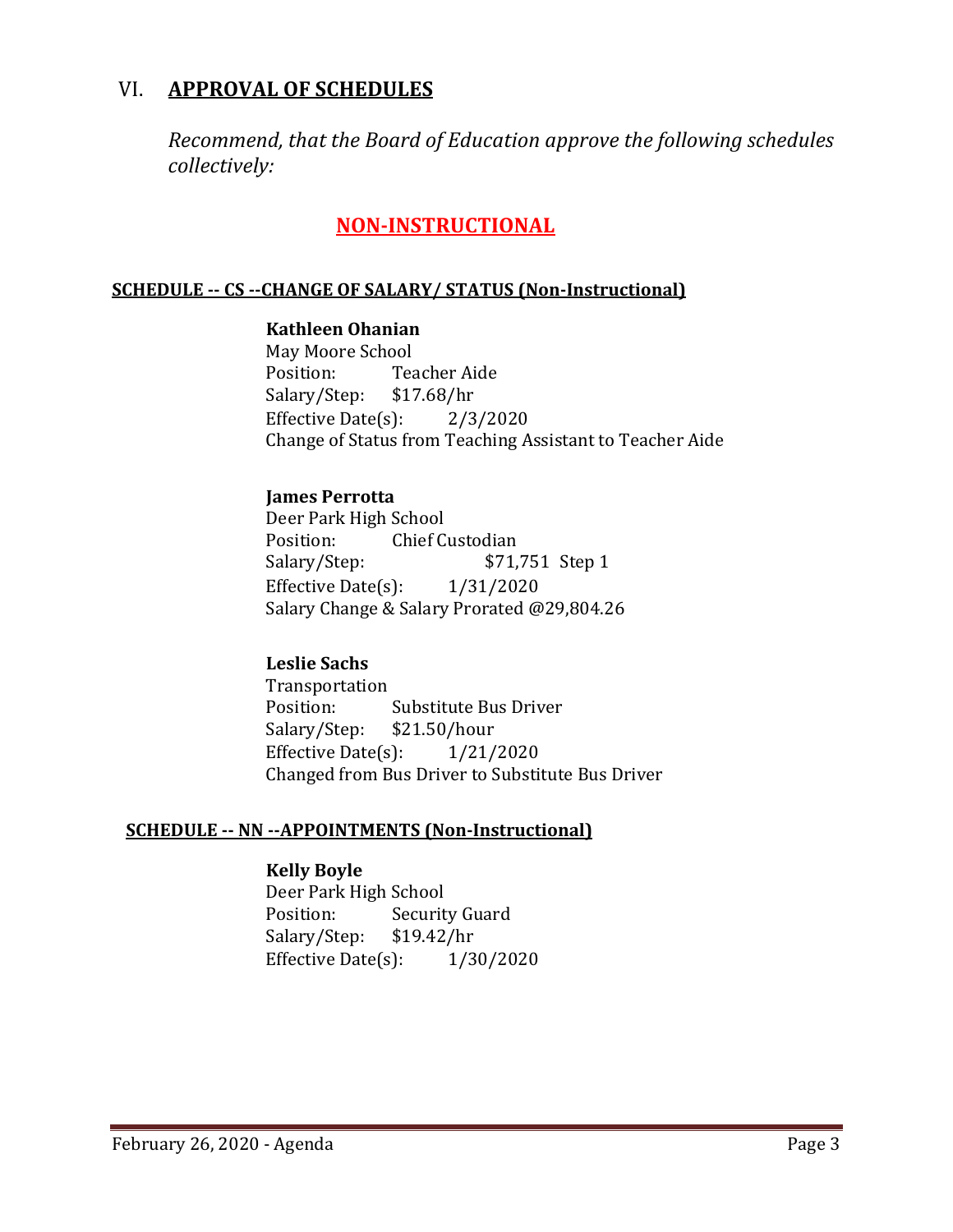# VI. **APPROVAL OF SCHEDULES**

*Recommend, that the Board of Education approve the following schedules collectively:*

# **NON-INSTRUCTIONAL**

#### **SCHEDULE -- CS --CHANGE OF SALARY/ STATUS (Non-Instructional)**

#### **Kathleen Ohanian**

May Moore School<br>Position: Tea Teacher Aide<br>\$17.68/hr Salary/Step: Effective Date $(s)$ : 2/3/2020 Change of Status from Teaching Assistant to Teacher Aide

#### **James Perrotta**

Deer Park High School<br>Position: Chief C Position: Chief Custodian<br>Salary/Step: \$71, \$71,751 Step 1 Effective Date(s): 1/31/2020 Salary Change & Salary Prorated @29,804.26

#### **Leslie Sachs**

Transportation<br>Position: Substitute Bus Driver Salary/Step: \$21.50/hour<br>Effective Date(s): 1/21/2020 Effective Date $(s)$ : Changed from Bus Driver to Substitute Bus Driver

#### **SCHEDULE -- NN --APPOINTMENTS (Non-Instructional)**

#### **Kelly Boyle**

Deer Park High School<br>Position: Securit Security Guard<br>\$19.42/hr Salary/Step: Effective Date(s): 1/30/2020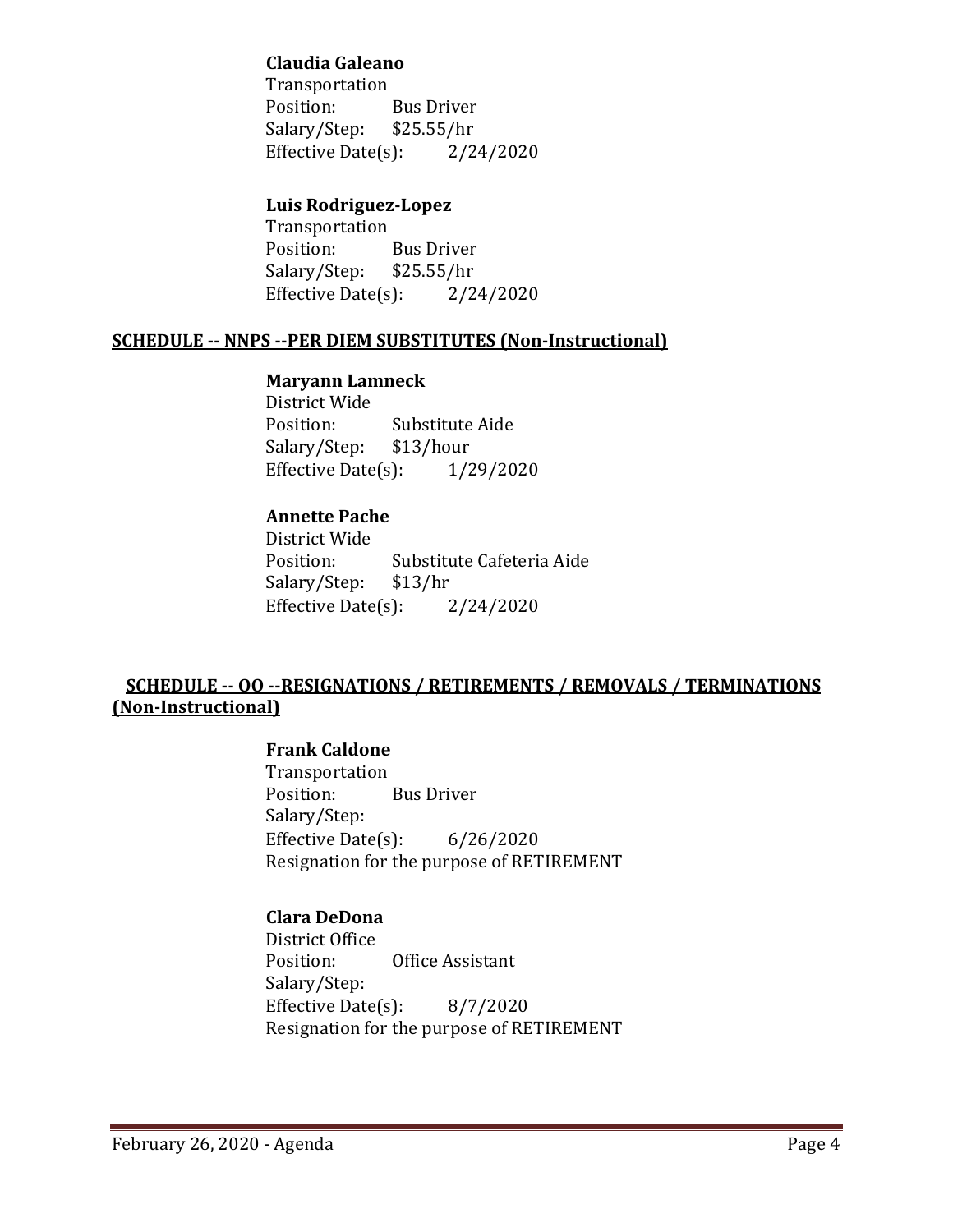## **Claudia Galeano**

Transportation Bus Driver<br>\$25.55/hr Salary/Step: Effective Date(s):  $2/24/2020$ 

## **Luis Rodriguez-Lopez**

Transportation<br>Position: Bus Driver<br>\$25.55/hr Salary/Step: \$25.55/hr<br>Effective Date(s): 2/24/2020 Effective Date $(s)$ :

### **SCHEDULE -- NNPS --PER DIEM SUBSTITUTES (Non-Instructional)**

#### **Maryann Lamneck**

District Wide Substitute Aide<br>\$13/hour Salary/Step: \$13/hour<br>Effective Date(s): 1/29/2020 Effective Date $(s)$ :

## **Annette Pache**

District Wide Substitute Cafeteria Aide<br>\$13/hr Salary/Step: Effective Date $(s)$ : 2/24/2020

## **SCHEDULE -- OO --RESIGNATIONS / RETIREMENTS / REMOVALS / TERMINATIONS (Non-Instructional)**

## **Frank Caldone**

Transportation<br>Position: **Bus Driver** Salary/Step: Effective Date(s): 6/26/2020 Resignation for the purpose of RETIREMENT

### **Clara DeDona**

District Office Office Assistant Salary/Step: Effective Date(s): 8/7/2020 Resignation for the purpose of RETIREMENT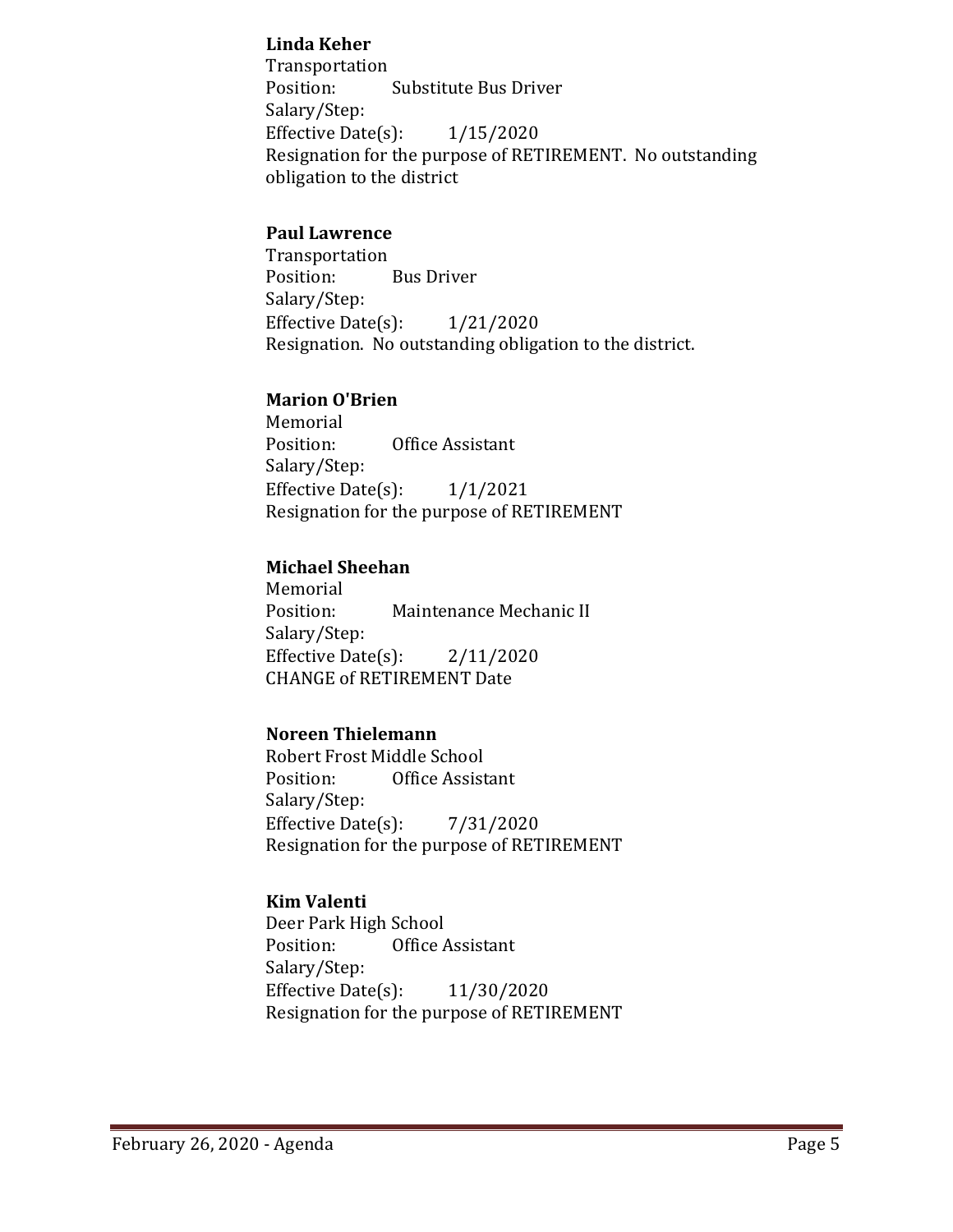## **Linda Keher**

Transportation<br>Position: Substitute Bus Driver Salary/Step: Effective Date(s): 1/15/2020 Resignation for the purpose of RETIREMENT. No outstanding obligation to the district

### **Paul Lawrence**

Transportation **Bus Driver** Salary/Step: Effective Date $(s)$ :  $1/21/2020$ Resignation. No outstanding obligation to the district.

### **Marion O'Brien**

Memorial<br>Position: Office Assistant Salary/Step: Effective Date $(s)$ :  $1/1/2021$ Resignation for the purpose of RETIREMENT

## **Michael Sheehan**

Memorial<br>Position: Maintenance Mechanic II Salary/Step: Effective Date(s): 2/11/2020 CHANGE of RETIREMENT Date

## **Noreen Thielemann**

Robert Frost Middle School<br>Position: Office Assist Office Assistant Salary/Step: Effective Date(s): 7/31/2020 Resignation for the purpose of RETIREMENT

### **Kim Valenti**

Deer Park High School<br>Position: Office Office Assistant Salary/Step: Effective Date(s): 11/30/2020 Resignation for the purpose of RETIREMENT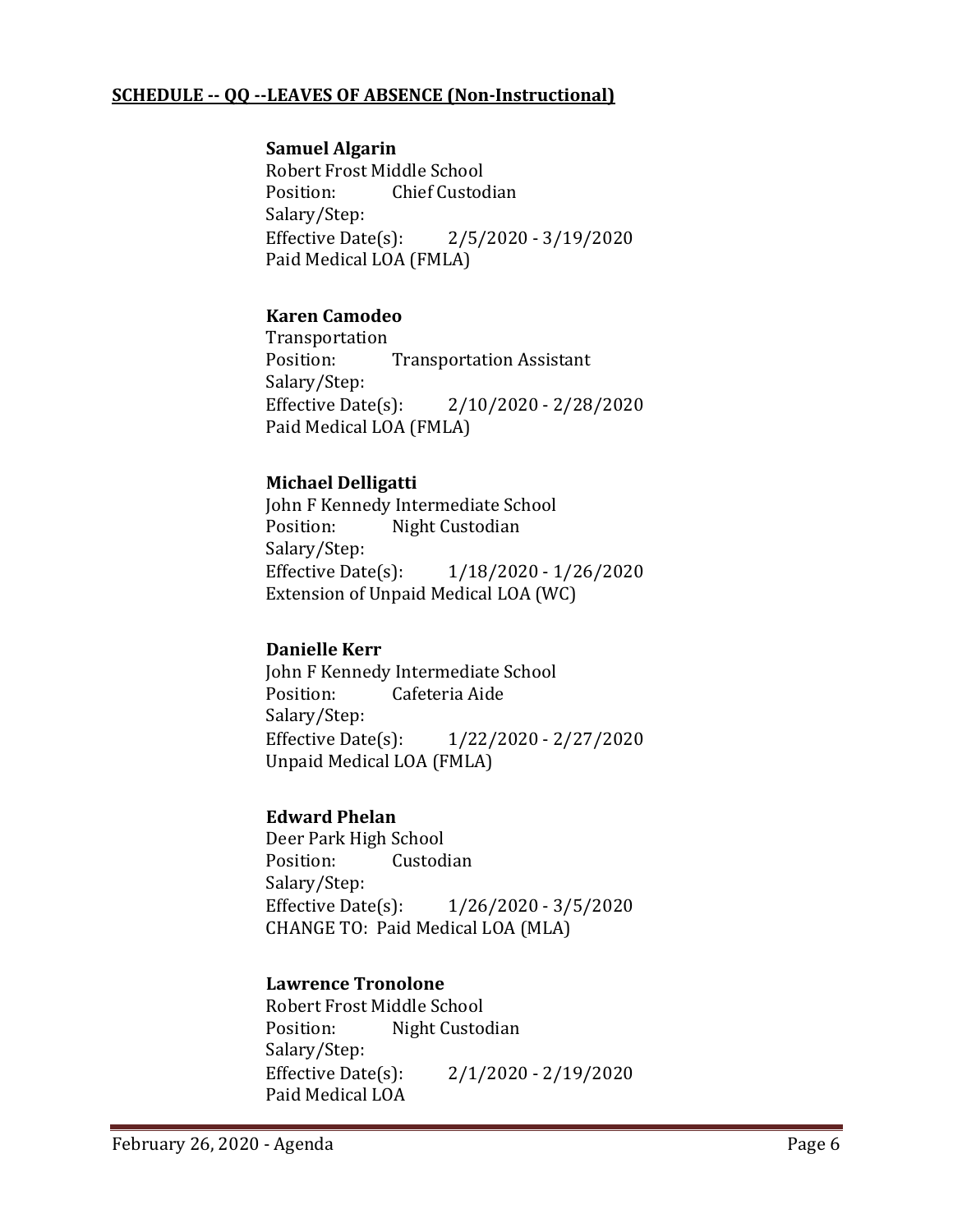## **SCHEDULE -- QQ --LEAVES OF ABSENCE (Non-Instructional)**

#### **Samuel Algarin**

Robert Frost Middle School<br>Position: Chief Custoc Chief Custodian Salary/Step:<br>Effective Date(s):  $2/5/2020 - 3/19/2020$ Paid Medical LOA (FMLA)

### **Karen Camodeo**

Transportation<br>Position: **Transportation Assistant** Salary/Step:<br>Effective Date(s):  $2/10/2020 - 2/28/2020$ Paid Medical LOA (FMLA)

## **Michael Delligatti**

John F Kennedy Intermediate School<br>Position: Night Custodian Night Custodian Salary/Step:<br>Effective Date(s): Effective Date(s): 1/18/2020 - 1/26/2020 Extension of Unpaid Medical LOA (WC)

### **Danielle Kerr**

John F Kennedy Intermediate School<br>Position: Cafeteria Aide Cafeteria Aide Salary/Step:<br>Effective Date(s): Effective Date(s): 1/22/2020 - 2/27/2020 Unpaid Medical LOA (FMLA)

### **Edward Phelan**

Deer Park High School<br>Position: Custod Custodian Salary/Step: Effective Date(s): 1/26/2020 - 3/5/2020 CHANGE TO: Paid Medical LOA (MLA)

#### **Lawrence Tronolone**

Robert Frost Middle School Night Custodian Salary/Step:<br>Effective Date(s):  $2/1/2020 - 2/19/2020$ Paid Medical LOA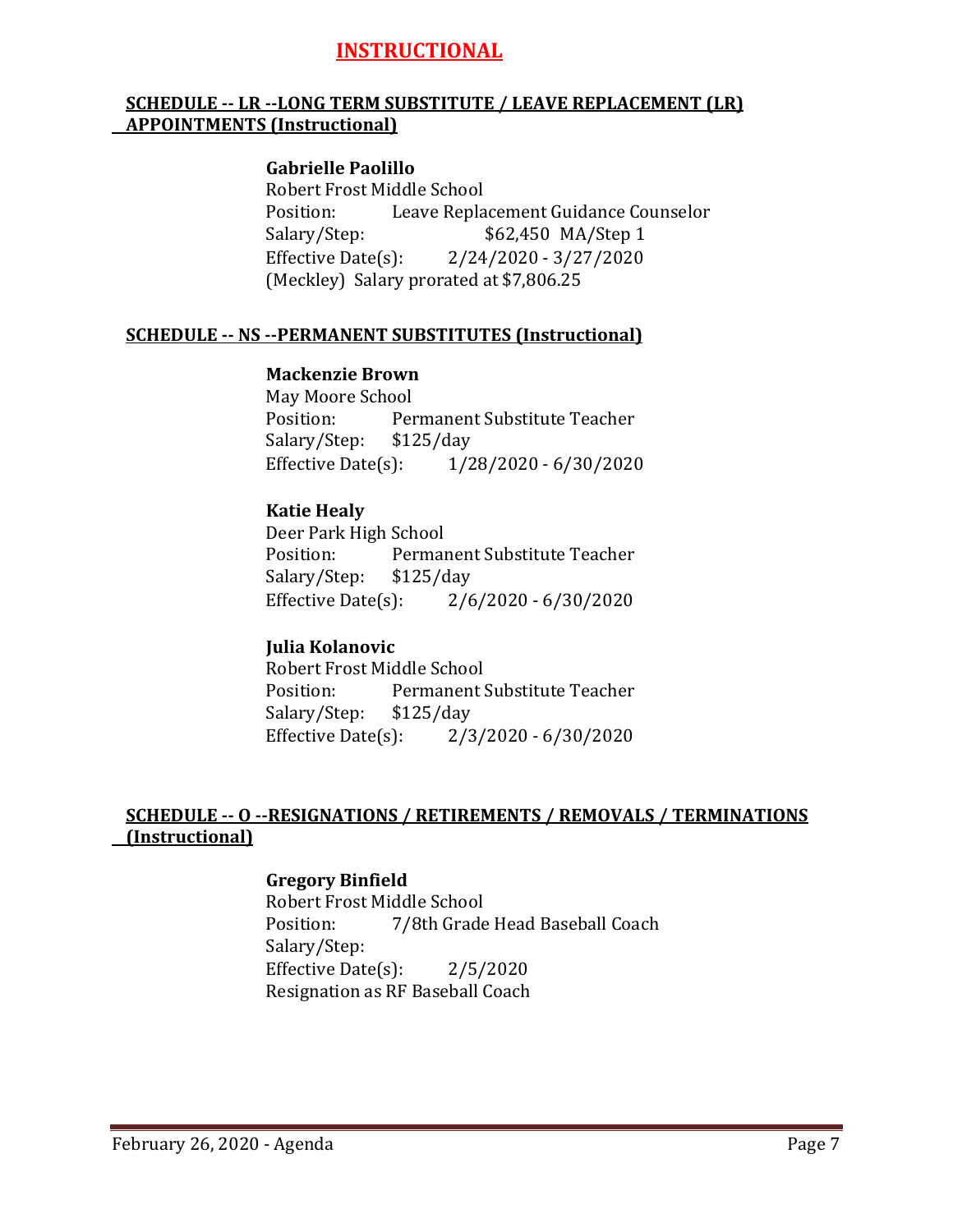# **INSTRUCTIONAL**

## **SCHEDULE -- LR --LONG TERM SUBSTITUTE / LEAVE REPLACEMENT (LR) APPOINTMENTS (Instructional)**

#### **Gabrielle Paolillo**

Robert Frost Middle School<br>Position: Leave Repla Position: Leave Replacement Guidance Counselor<br>Salary/Step: \$62,450 MA/Step 1 \$62,450 MA/Step 1 Effective Date(s): 2/24/2020 - 3/27/2020 (Meckley) Salary prorated at \$7,806.25

#### **SCHEDULE -- NS --PERMANENT SUBSTITUTES (Instructional)**

#### **Mackenzie Brown**

May Moore School<br>Position: Per Permanent Substitute Teacher<br>\$125/day Salary/Step: \$1<br>Effective Date(s): Effective Date(s): 1/28/2020 - 6/30/2020

#### **Katie Healy**

Deer Park High School<br>Position: Permai Permanent Substitute Teacher<br>\$125/day Salary/Step: \$1<br>Effective Date(s):  $2/6/2020 - 6/30/2020$ 

#### **Julia Kolanovic**

Robert Frost Middle School<br>Position: Permanent! Permanent Substitute Teacher<br>\$125/day Salary/Step: \$12<br>Effective Date(s):  $2/3/2020 - 6/30/2020$ 

### **SCHEDULE -- O --RESIGNATIONS / RETIREMENTS / REMOVALS / TERMINATIONS (Instructional)**

### **Gregory Binfield**

Robert Frost Middle School<br>Position: 7/8th Grade 7/8th Grade Head Baseball Coach Salary/Step: Effective Date $(s)$ : 2/5/2020 Resignation as RF Baseball Coach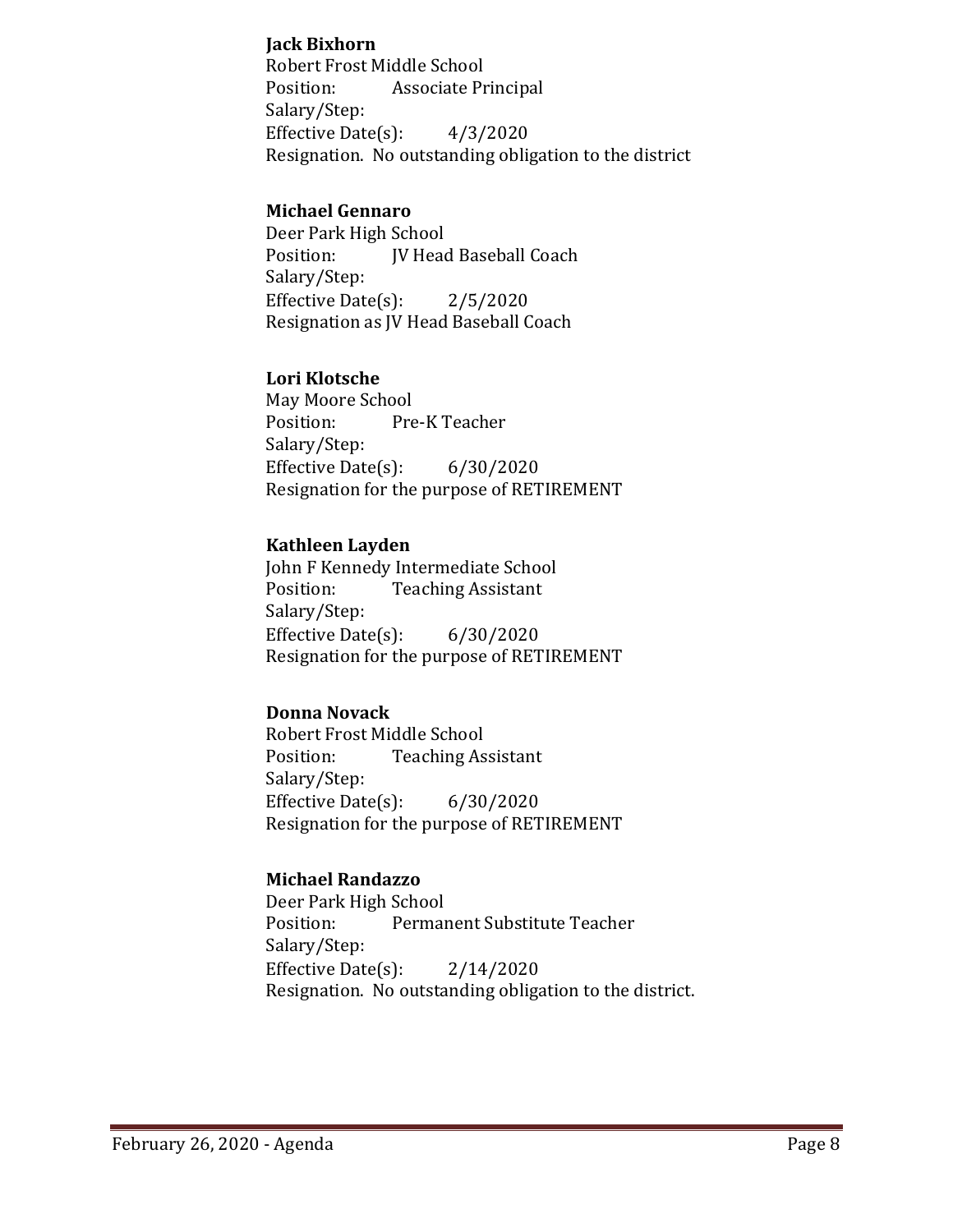### **Jack Bixhorn**

Robert Frost Middle School<br>Position: Associate Pr Associate Principal Salary/Step: Effective Date $(s)$ :  $4/3/2020$ Resignation. No outstanding obligation to the district

## **Michael Gennaro**

Deer Park High School<br>Position: [V Head JV Head Baseball Coach Salary/Step: Effective Date $(s)$ : 2/5/2020 Resignation as JV Head Baseball Coach

## **Lori Klotsche**

May Moore School<br>Position: Pre Pre-K Teacher Salary/Step: Effective Date(s): 6/30/2020 Resignation for the purpose of RETIREMENT

### **Kathleen Layden**

John F Kennedy Intermediate School<br>Position: Teaching Assistant **Teaching Assistant** Salary/Step: Effective Date(s): 6/30/2020 Resignation for the purpose of RETIREMENT

## **Donna Novack**

Robert Frost Middle School<br>Position: Teaching As **Teaching Assistant** Salary/Step: Effective Date(s): 6/30/2020 Resignation for the purpose of RETIREMENT

## **Michael Randazzo**

Deer Park High School<br>Position: Permar Permanent Substitute Teacher Salary/Step: Effective Date(s): 2/14/2020 Resignation. No outstanding obligation to the district.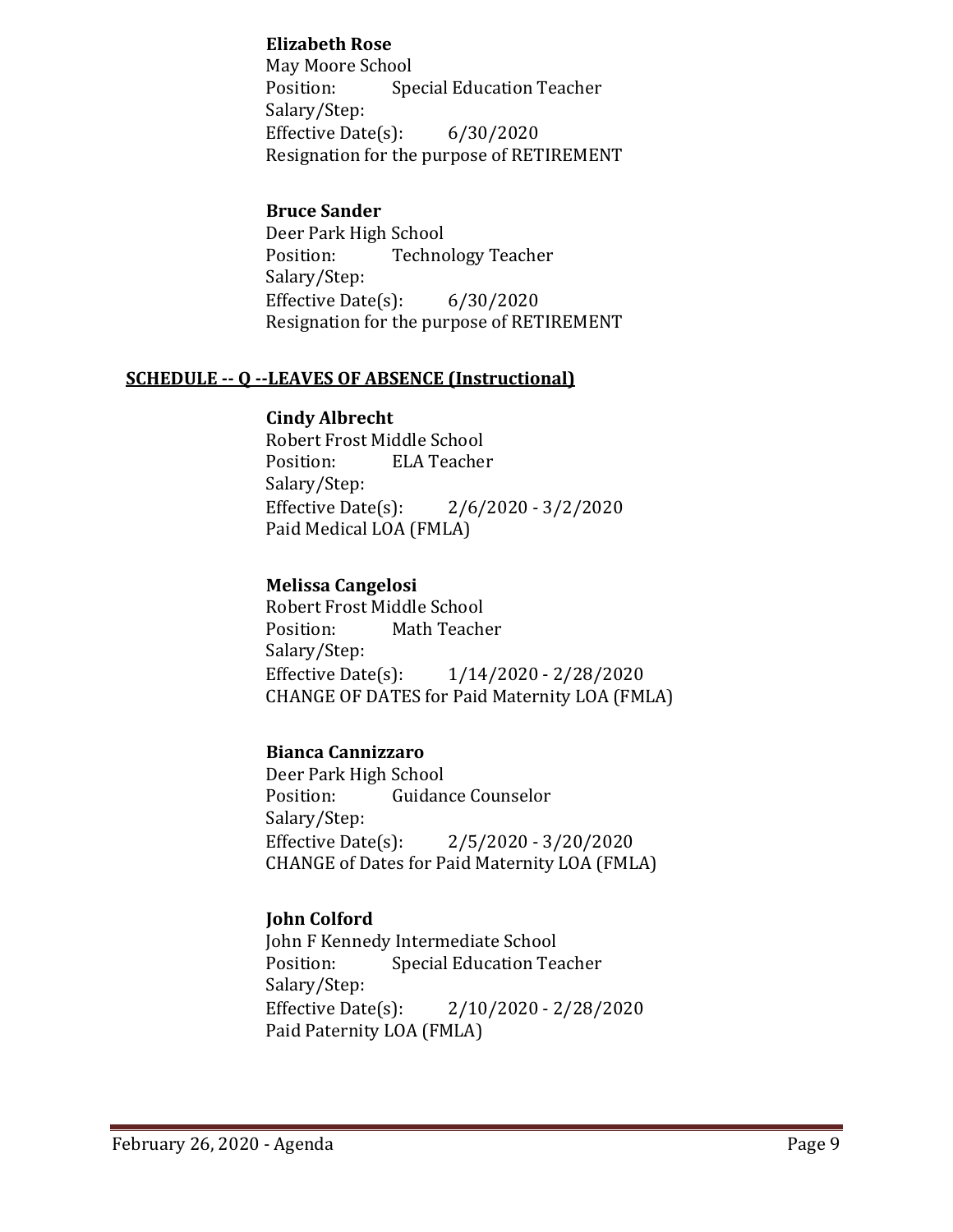## **Elizabeth Rose**

May Moore School<br>Position: Spe **Special Education Teacher** Salary/Step: Effective Date(s): 6/30/2020 Resignation for the purpose of RETIREMENT

## **Bruce Sander**

Deer Park High School<br>Position: Techno **Technology Teacher** Salary/Step: Effective Date(s): 6/30/2020 Resignation for the purpose of RETIREMENT

### **SCHEDULE -- Q --LEAVES OF ABSENCE (Instructional)**

## **Cindy Albrecht**

Robert Frost Middle School<br>Position: ELA Teacher **ELA Teacher** Salary/Step:<br>Effective Date(s):  $2/6/2020 - 3/2/2020$ Paid Medical LOA (FMLA)

## **Melissa Cangelosi**

Robert Frost Middle School<br>Position: Math Teach Math Teacher Salary/Step:<br>Effective Date(s):  $1/14/2020 - 2/28/2020$ CHANGE OF DATES for Paid Maternity LOA (FMLA)

### **Bianca Cannizzaro**

Deer Park High School<br>Position: Guidan Guidance Counselor Salary/Step:<br>Effective Date(s):  $2/5/2020 - 3/20/2020$ CHANGE of Dates for Paid Maternity LOA (FMLA)

## **John Colford**

John F Kennedy Intermediate School<br>Position: Special Education Tea **Special Education Teacher** Salary/Step: Effective Date(s): 2/10/2020 - 2/28/2020 Paid Paternity LOA (FMLA)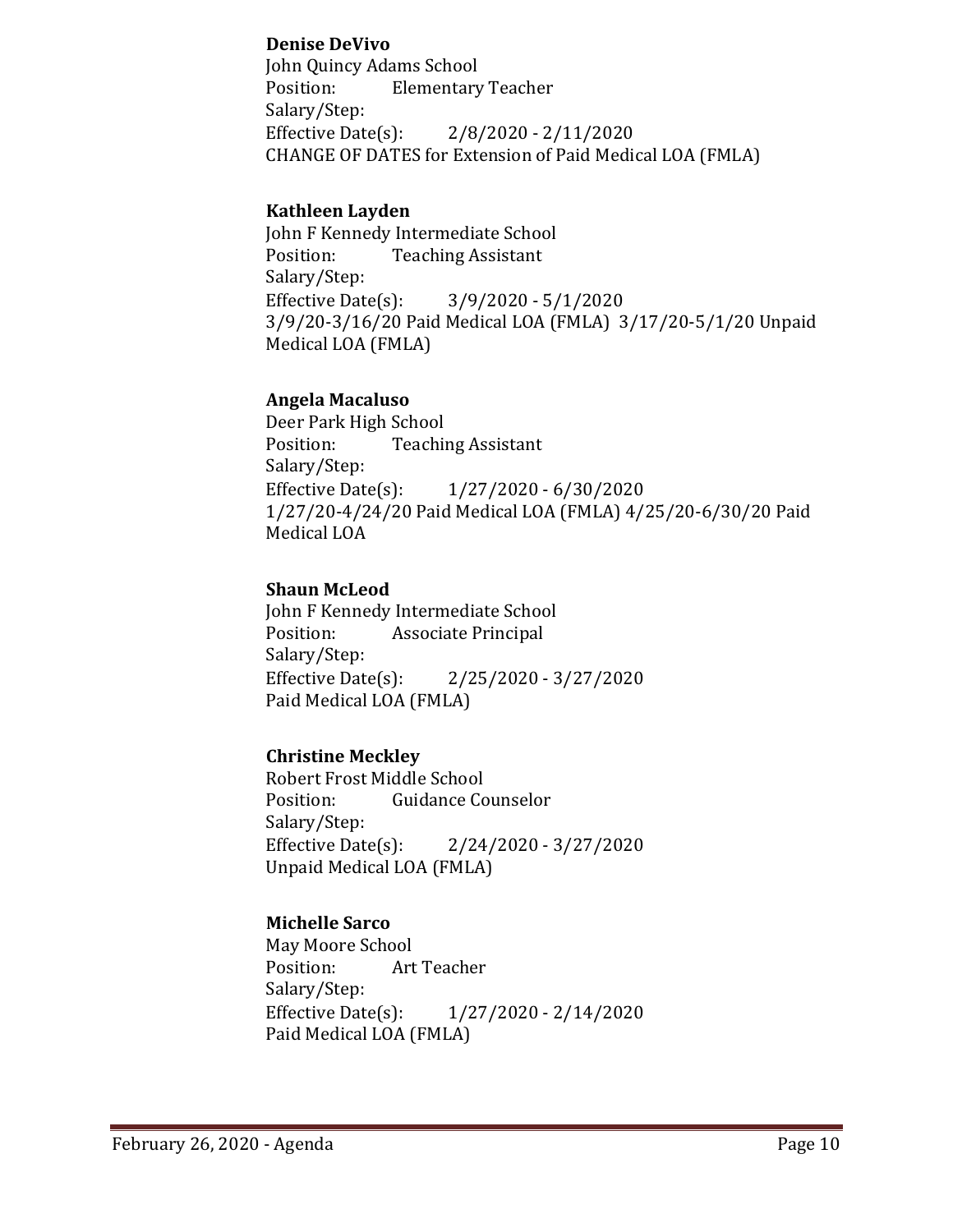## **Denise DeVivo**

John Quincy Adams School<br>Position: Flementary **Elementary Teacher** Salary/Step: Effective Date(s): 2/8/2020 - 2/11/2020 CHANGE OF DATES for Extension of Paid Medical LOA (FMLA)

## **Kathleen Layden**

John F Kennedy Intermediate School<br>Position: Teaching Assistant **Teaching Assistant** Salary/Step:<br>Effective Date(s):  $3/9/2020 - 5/1/2020$ 3/9/20-3/16/20 Paid Medical LOA (FMLA) 3/17/20-5/1/20 Unpaid Medical LOA (FMLA)

### **Angela Macaluso**

Deer Park High School<br>Position: Teachii **Teaching Assistant** Salary/Step:<br>Effective Date(s): Effective Date(s): 1/27/2020 - 6/30/2020 1/27/20-4/24/20 Paid Medical LOA (FMLA) 4/25/20-6/30/20 Paid Medical LOA

## **Shaun McLeod**

John F Kennedy Intermediate School<br>Position: Associate Principal Associate Principal Salary/Step:<br>Effective Date(s): Effective Date(s): 2/25/2020 - 3/27/2020 Paid Medical LOA (FMLA)

## **Christine Meckley**

Robert Frost Middle School<br>Position: Guidance Co **Guidance Counselor** Salary/Step: Effective Date(s): 2/24/2020 - 3/27/2020 Unpaid Medical LOA (FMLA)

## **Michelle Sarco**

May Moore School<br>Position: Art Art Teacher Salary/Step:<br>Effective Date(s): Effective Date(s): 1/27/2020 - 2/14/2020 Paid Medical LOA (FMLA)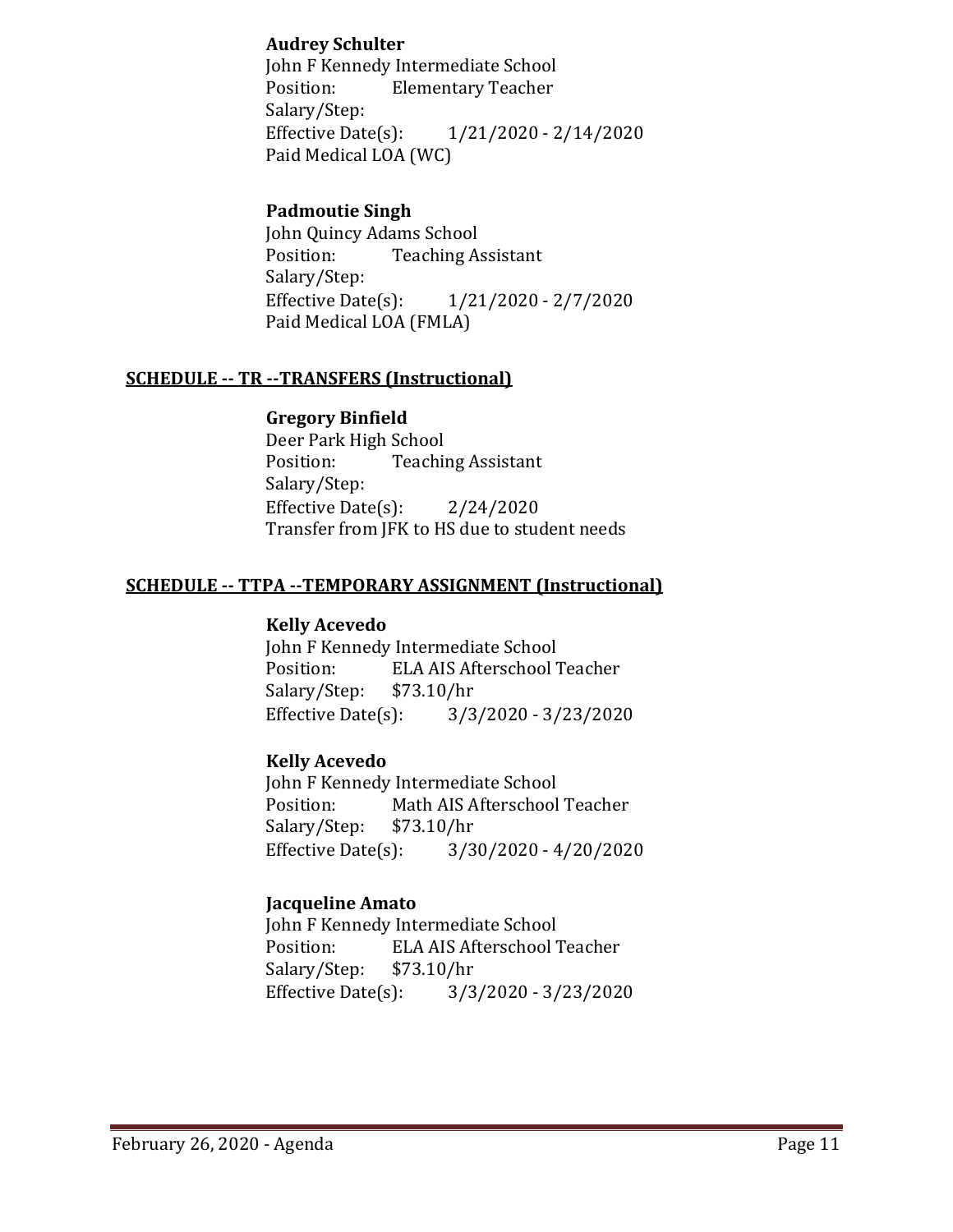## **Audrey Schulter**

John F Kennedy Intermediate School<br>Position: Flementary Teacher **Elementary Teacher** Salary/Step:<br>Effective Date(s): Effective Date(s): 1/21/2020 - 2/14/2020 Paid Medical LOA (WC)

## **Padmoutie Singh**

John Quincy Adams School<br>Position: Teaching A **Teaching Assistant** Salary/Step:<br>Effective Date(s):  $1/21/2020 - 2/7/2020$ Paid Medical LOA (FMLA)

### **SCHEDULE -- TR --TRANSFERS (Instructional)**

### **Gregory Binfield**

Deer Park High School<br>Position: Teachii **Teaching Assistant** Salary/Step: Effective Date $(s)$ : 2/24/2020 Transfer from JFK to HS due to student needs

#### **SCHEDULE -- TTPA --TEMPORARY ASSIGNMENT (Instructional)**

#### **Kelly Acevedo**

John F Kennedy Intermediate School<br>Position: ELA AIS Afterschool 7 ELA AIS Afterschool Teacher<br>\$73.10/hr Salary/Step: \$7<br>Effective Date(s): Effective Date(s): 3/3/2020 - 3/23/2020

### **Kelly Acevedo**

John F Kennedy Intermediate School<br>Position: Math AIS Afterschool Math AIS Afterschool Teacher<br>\$73.10/hr Salary/Step: \$7.<br>Effective Date(s): Effective Date(s): 3/30/2020 - 4/20/2020

### **Jacqueline Amato**

John F Kennedy Intermediate School<br>Position: ELA AIS Afterschool ELA AIS Afterschool Teacher<br>\$73.10/hr Salary/Step: \$7<br>Effective Date(s): Effective Date(s): 3/3/2020 - 3/23/2020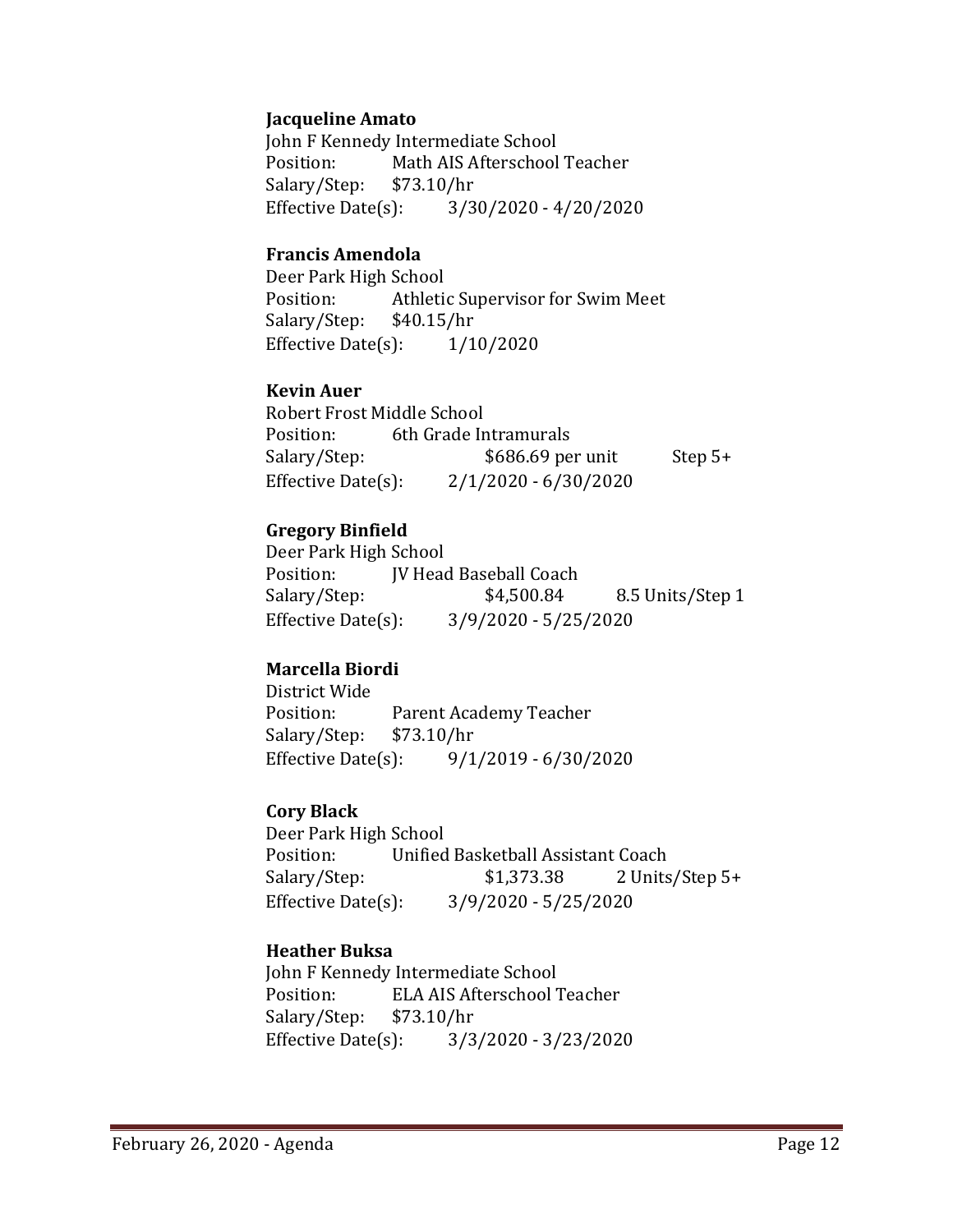### **Jacqueline Amato**

John F Kennedy Intermediate School<br>Position: Math AIS Afterschool Math AIS Afterschool Teacher Salary/Step: \$73.10/hr Effective Date(s): 3/30/2020 - 4/20/2020

#### **Francis Amendola**

Deer Park High School<br>Position: Athletic Athletic Supervisor for Swim Meet<br>\$40.15/hr Salary/Step: \$40.15/hr<br>Effective Date(s): 1/10/2020 Effective Date $(s)$ :

#### **Kevin Auer**

Robert Frost Middle School<br>Position: 6th Grade In Position: 6th Grade Intramurals<br>Salary/Step: \$686.69 pe  $$686.69$  per unit Step 5+ Effective Date(s): 2/1/2020 - 6/30/2020

### **Gregory Binfield**

Deer Park High School<br>Position: [V Head Position: JV Head Baseball Coach<br>Salary/Step: \$4,500.84 8.5 Units/Step 1 Effective Date(s): 3/9/2020 - 5/25/2020

### **Marcella Biordi**

District Wide Parent Academy Teacher<br>\$73.10/hr Salary/Step: \$7<br>Effective Date(s): Effective Date(s): 9/1/2019 - 6/30/2020

#### **Cory Black**

Deer Park High School Position: Unified Basketball Assistant Coach<br>Salary/Step: \$1,373.38 2 Units 2 Units/Step 5+ Effective Date(s): 3/9/2020 - 5/25/2020

### **Heather Buksa**

John F Kennedy Intermediate School ELA AIS Afterschool Teacher<br>\$73.10/hr Salary/Step: Effective Date(s): 3/3/2020 - 3/23/2020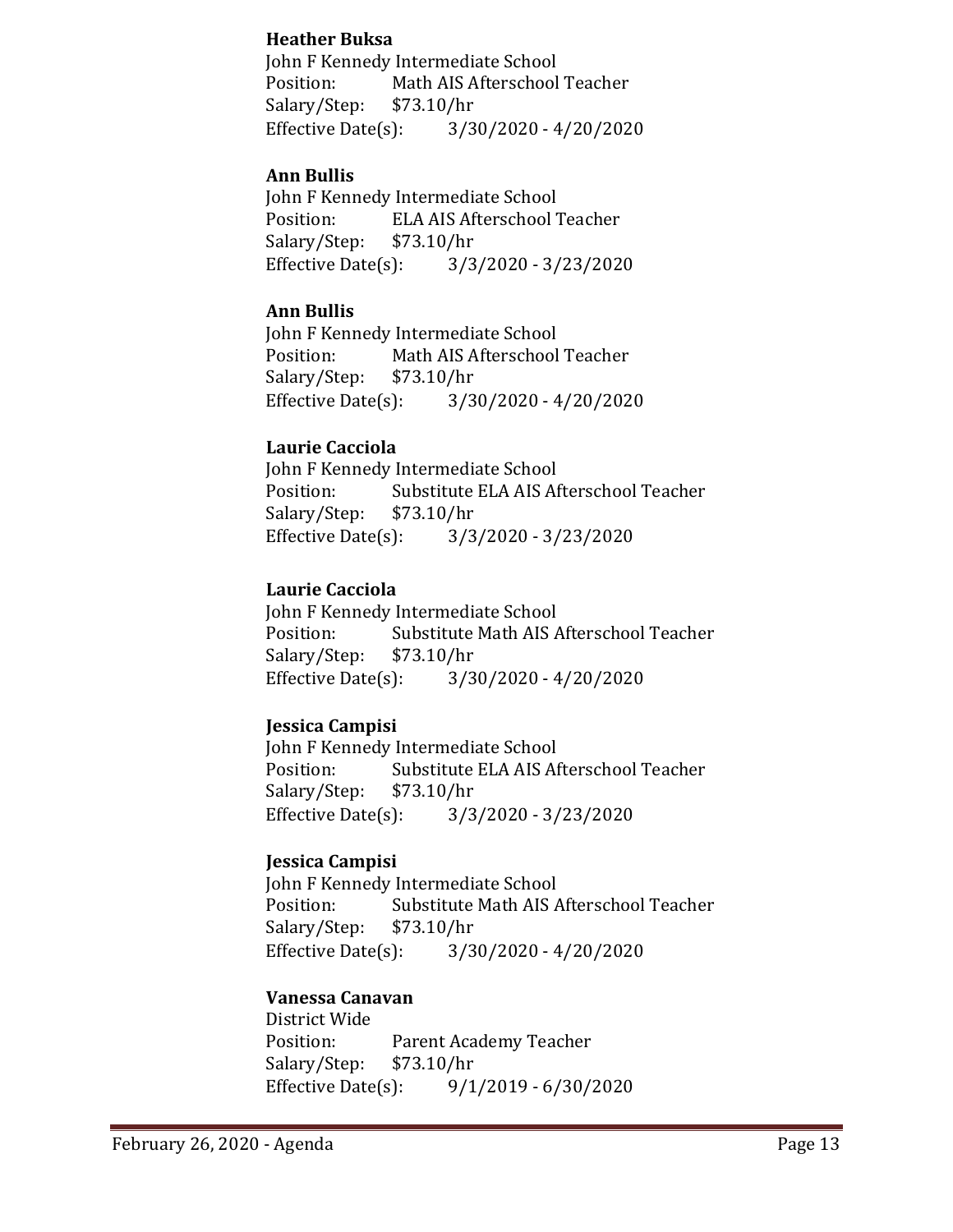### **Heather Buksa**

John F Kennedy Intermediate School Position: Math AIS Afterschool Teacher<br>Salary/Step: \$73.10/hr Salary/Step: \$7<br>Effective Date(s):  $3/30/2020 - 4/20/2020$ 

## **Ann Bullis**

John F Kennedy Intermediate School<br>Position: ELA AIS Afterschool 7 ELA AIS Afterschool Teacher<br>\$73.10/hr Salary/Step: \$7<br>Effective Date(s): Effective Date(s): 3/3/2020 - 3/23/2020

## **Ann Bullis**

John F Kennedy Intermediate School<br>Position: Math AIS Afterschool Math AIS Afterschool Teacher<br>\$73.10/hr Salary/Step: Effective Date(s): 3/30/2020 - 4/20/2020

## **Laurie Cacciola**

John F Kennedy Intermediate School<br>Position: Substitute ELA AIS Af Substitute ELA AIS Afterschool Teacher<br>\$73.10/hr Salary/Step: \$7<br>Effective Date(s): Effective Date(s): 3/3/2020 - 3/23/2020

## **Laurie Cacciola**

John F Kennedy Intermediate School<br>Position: Substitute Math AIS A Substitute Math AIS Afterschool Teacher<br>\$73.10/hr Salary/Step: \$7<br>Effective Date(s): Effective Date(s): 3/30/2020 - 4/20/2020

## **Jessica Campisi**

John F Kennedy Intermediate School<br>Position: Substitute ELA AIS Af Substitute ELA AIS Afterschool Teacher<br>\$73.10/hr Salary/Step: \$7<br>Effective Date(s): Effective Date(s): 3/3/2020 - 3/23/2020

### **Jessica Campisi**

John F Kennedy Intermediate School<br>Position: Substitute Math AIS A Substitute Math AIS Afterschool Teacher<br>\$73.10/hr Salary/Step: \$7.<br>Effective Date(s):  $3/30/2020 - 4/20/2020$ 

### **Vanessa Canavan**

District Wide Parent Academy Teacher<br>\$73.10/hr Salary/Step: \$7<br>Effective Date(s): Effective Date(s): 9/1/2019 - 6/30/2020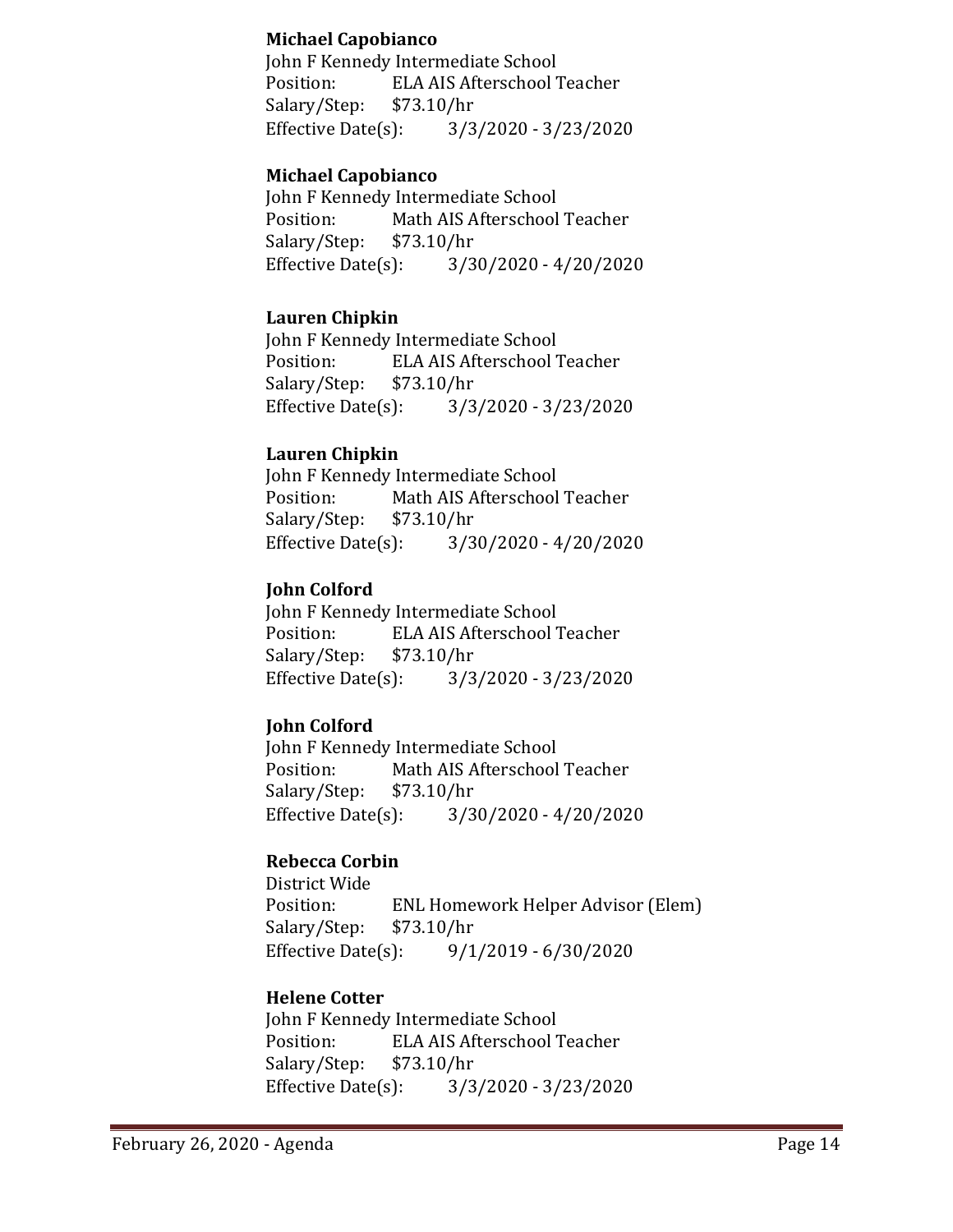## **Michael Capobianco**

John F Kennedy Intermediate School Position: ELA AIS Afterschool Teacher<br>Salary/Step: \$73.10/hr Salary/Step: \$7<br>Effective Date(s): Effective Date(s): 3/3/2020 - 3/23/2020

## **Michael Capobianco**

John F Kennedy Intermediate School<br>Position: Math AIS Afterschool Math AIS Afterschool Teacher<br>\$73.10/hr Salary/Step: \$7<br>Effective Date(s):  $3/30/2020 - 4/20/2020$ 

### **Lauren Chipkin**

John F Kennedy Intermediate School<br>Position: ELA AIS Afterschool 7 ELA AIS Afterschool Teacher<br>\$73.10/hr Salary/Step: \$7<br>Effective Date(s): Effective Date(s): 3/3/2020 - 3/23/2020

## **Lauren Chipkin**

John F Kennedy Intermediate School<br>Position: Math AIS Afterschool Math AIS Afterschool Teacher<br>\$73.10/hr Salary/Step: \$7<br>Effective Date(s):  $3/30/2020 - 4/20/2020$ 

## **John Colford**

John F Kennedy Intermediate School<br>Position: ELA AIS Afterschool ELA AIS Afterschool Teacher<br>\$73.10/hr Salary/Step: \$7<br>Effective Date(s): Effective Date(s): 3/3/2020 - 3/23/2020

## **John Colford**

John F Kennedy Intermediate School<br>Position: Math AIS Afterschool Math AIS Afterschool Teacher<br>\$73.10/hr Salary/Step: \$7<br>Effective Date(s):  $3/30/2020 - 4/20/2020$ 

## **Rebecca Corbin**

District Wide ENL Homework Helper Advisor (Elem)<br>\$73.10/hr Salary/Step: \$7<br>Effective Date(s):  $9/1/2019 - 6/30/2020$ 

## **Helene Cotter**

John F Kennedy Intermediate School<br>Position: ELA AIS Afterschool ELA AIS Afterschool Teacher<br>\$73.10/hr Salary/Step: \$7<br>Effective Date(s): Effective Date(s): 3/3/2020 - 3/23/2020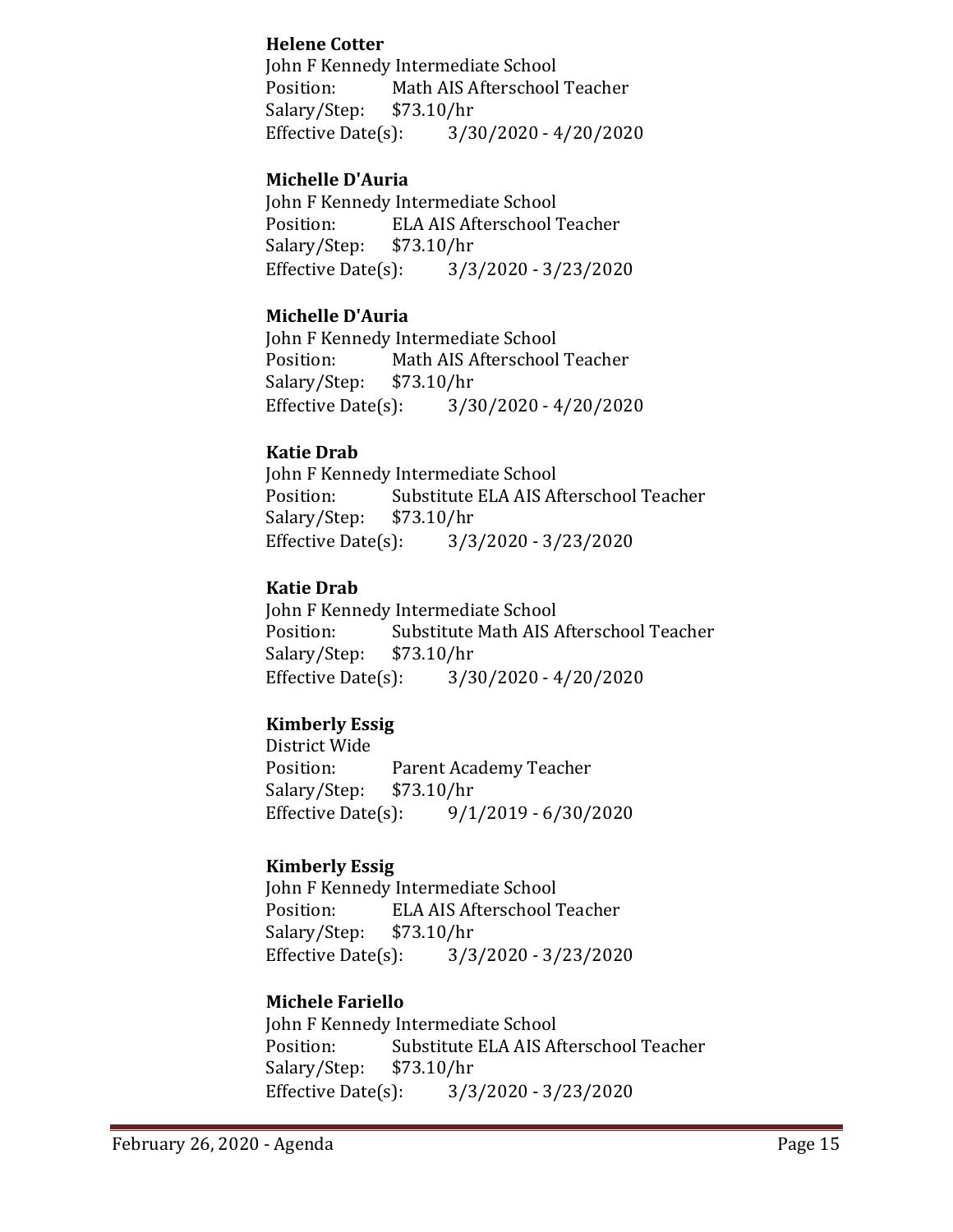## **Helene Cotter**

John F Kennedy Intermediate School<br>Position: Math AIS Afterschool Math AIS Afterschool Teacher<br>\$73.10/hr Salary/Step: Effective Date(s): 3/30/2020 - 4/20/2020

## **Michelle D'Auria**

John F Kennedy Intermediate School<br>Position: ELA AIS Afterschool 7 ELA AIS Afterschool Teacher<br>\$73.10/hr Salary/Step: \$7<br>Effective Date(s): Effective Date(s): 3/3/2020 - 3/23/2020

## **Michelle D'Auria**

John F Kennedy Intermediate School<br>Position: Math AIS Afterschool Math AIS Afterschool Teacher Salary/Step: \$73.10/hr<br>Effective Date(s): 3/3  $3/30/2020 - 4/20/2020$ 

## **Katie Drab**

John F Kennedy Intermediate School<br>Position: Substitute ELA AIS Af Substitute ELA AIS Afterschool Teacher<br>\$73.10/hr Salary/Step: \$7.<br>Effective Date(s): Effective Date(s): 3/3/2020 - 3/23/2020

## **Katie Drab**

John F Kennedy Intermediate School<br>Position: Substitute Math AIS A Substitute Math AIS Afterschool Teacher<br>\$73.10/hr Salary/Step: \$7<br>Effective Date(s):  $3/30/2020 - 4/20/2020$ 

## **Kimberly Essig**

District Wide Parent Academy Teacher<br>\$73.10/hr Salary/Step: \$7<br>Effective Date(s): Effective Date(s): 9/1/2019 - 6/30/2020

## **Kimberly Essig**

John F Kennedy Intermediate School<br>Position: ELA AIS Afterschool ELA AIS Afterschool Teacher<br>\$73.10/hr Salary/Step: \$7.<br>Effective Date(s): Effective Date(s): 3/3/2020 - 3/23/2020

## **Michele Fariello**

John F Kennedy Intermediate School<br>Position: Substitute ELA AIS Af Substitute ELA AIS Afterschool Teacher<br>\$73.10/hr Salary/Step: \$7<br>Effective Date(s): Effective Date(s): 3/3/2020 - 3/23/2020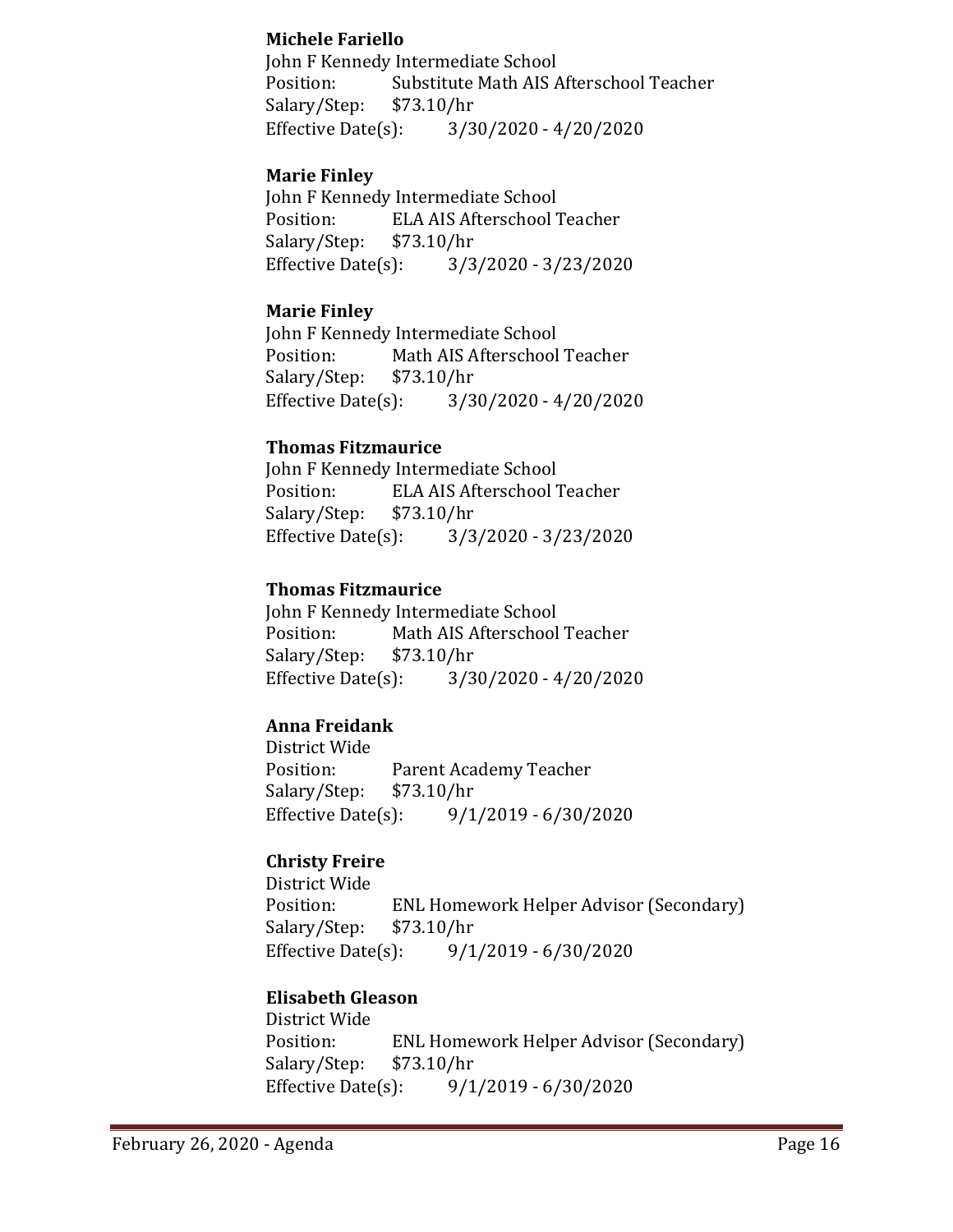## **Michele Fariello**

John F Kennedy Intermediate School Position: Substitute Math AIS Afterschool Teacher<br>Salary/Step: \$73.10/hr Salary/Step: \$7<br>Effective Date(s):  $3/30/2020 - 4/20/2020$ 

## **Marie Finley**

John F Kennedy Intermediate School<br>Position: ELA AIS Afterschool ELA AIS Afterschool Teacher<br>\$73.10/hr Salary/Step: \$7<br>Effective Date(s): Effective Date(s): 3/3/2020 - 3/23/2020

## **Marie Finley**

John F Kennedy Intermediate School<br>Position: Math AIS Afterschool Math AIS Afterschool Teacher<br>\$73.10/hr Salary/Step: Effective Date(s): 3/30/2020 - 4/20/2020

## **Thomas Fitzmaurice**

John F Kennedy Intermediate School ELA AIS Afterschool Teacher<br>\$73.10/hr Salary/Step: \$7<br>Effective Date(s): Effective Date(s): 3/3/2020 - 3/23/2020

## **Thomas Fitzmaurice**

John F Kennedy Intermediate School<br>Position: Math AIS Afterschool Math AIS Afterschool Teacher<br>\$73.10/hr Salary/Step: \$7<br>Effective Date(s): Effective Date(s): 3/30/2020 - 4/20/2020

## **Anna Freidank**

District Wide Parent Academy Teacher<br>\$73.10/hr Salary/Step: Effective Date(s): 9/1/2019 - 6/30/2020

## **Christy Freire**

District Wide ENL Homework Helper Advisor (Secondary)<br>\$73.10/hr Salary/Step: \$7<br>Effective Date(s):  $9/1/2019 - 6/30/2020$ 

## **Elisabeth Gleason**

District Wide ENL Homework Helper Advisor (Secondary) \$73.10/hr Salary/Step: \$7<br>Effective Date(s): Effective Date(s): 9/1/2019 - 6/30/2020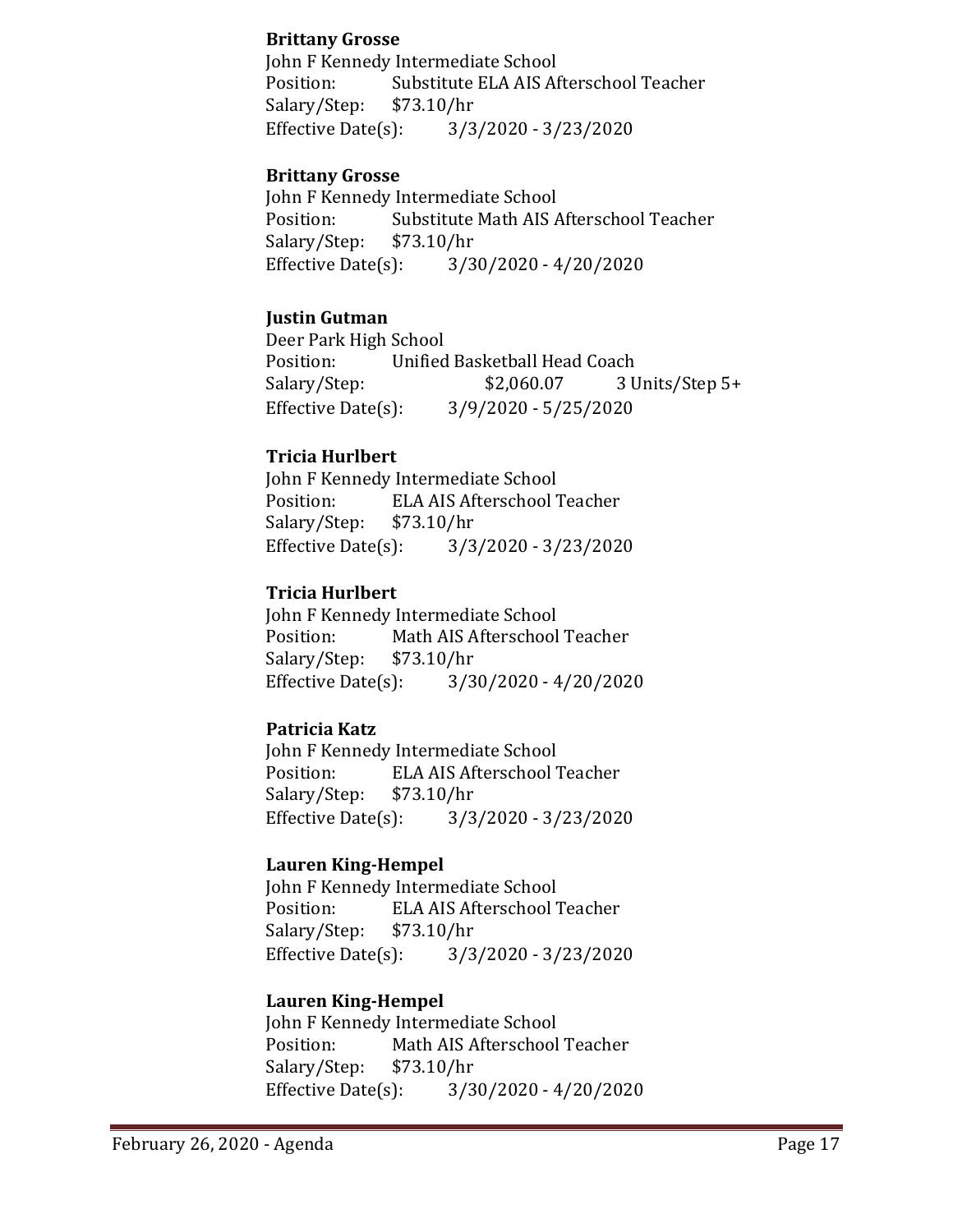### **Brittany Grosse**

John F Kennedy Intermediate School<br>Position: Substitute ELA AIS Af Substitute ELA AIS Afterschool Teacher<br>\$73.10/hr Salary/Step: \$7<br>Effective Date(s): Effective Date(s): 3/3/2020 - 3/23/2020

## **Brittany Grosse**

John F Kennedy Intermediate School<br>Position: Substitute Math AIS A Substitute Math AIS Afterschool Teacher<br>\$73.10/hr Salary/Step: \$7<br>Effective Date(s):  $3/30/2020 - 4/20/2020$ 

## **Justin Gutman**

Deer Park High School Position: Unified Basketball Head Coach<br>Salary/Step: \$2,060.07 3 U 3 Units/Step 5+ Effective Date(s): 3/9/2020 - 5/25/2020

## **Tricia Hurlbert**

John F Kennedy Intermediate School<br>Position: ELA AIS Afterschool ELA AIS Afterschool Teacher<br>\$73.10/hr Salary/Step: \$7<br>Effective Date(s):  $3/3/2020 - 3/23/2020$ 

## **Tricia Hurlbert**

John F Kennedy Intermediate School<br>Position: Math AIS Afterschool Math AIS Afterschool Teacher<br>\$73.10/hr Salary/Step: Effective Date(s): 3/30/2020 - 4/20/2020

## **Patricia Katz**

John F Kennedy Intermediate School<br>Position: ELA AIS Afterschool 7 ELA AIS Afterschool Teacher<br>\$73.10/hr Salary/Step: \$7<br>Effective Date(s): Effective Date(s): 3/3/2020 - 3/23/2020

### **Lauren King-Hempel**

John F Kennedy Intermediate School<br>Position: ELA AIS Afterschool 7 ELA AIS Afterschool Teacher<br>\$73.10/hr Salary/Step: \$7<br>Effective Date(s): Effective Date(s): 3/3/2020 - 3/23/2020

## **Lauren King-Hempel**

John F Kennedy Intermediate School<br>Position: Math AIS Afterschool Math AIS Afterschool Teacher<br>\$73.10/hr Salary/Step: \$7<br>Effective Date(s):  $3/30/2020 - 4/20/2020$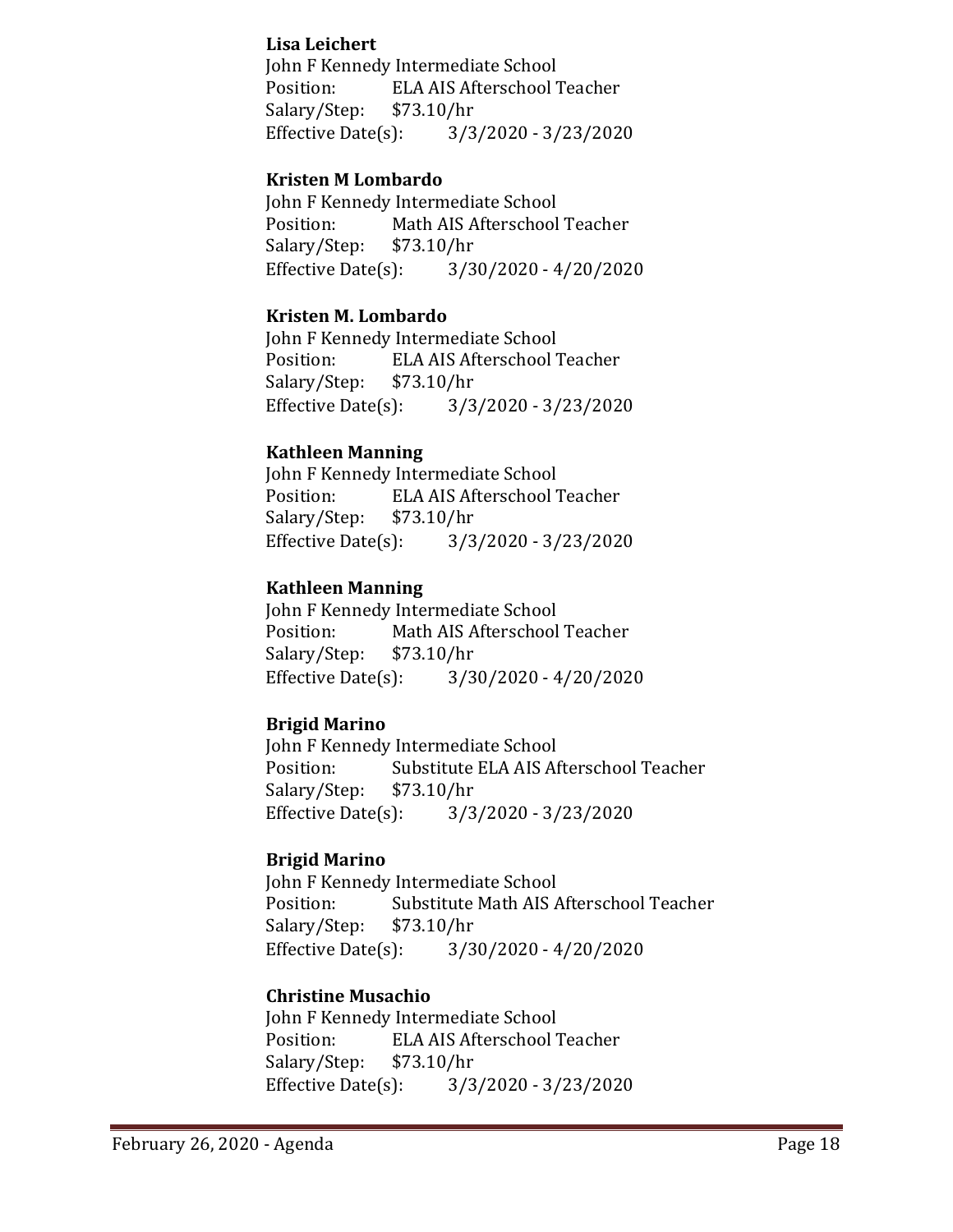## **Lisa Leichert**

John F Kennedy Intermediate School ELA AIS Afterschool Teacher<br>\$73.10/hr Salary/Step: \$7<br>Effective Date(s): Effective Date(s): 3/3/2020 - 3/23/2020

## **Kristen M Lombardo**

John F Kennedy Intermediate School<br>Position: Math AIS Afterschool Math AIS Afterschool Teacher<br>\$73.10/hr Salary/Step: \$7<br>Effective Date(s):  $3/30/2020 - 4/20/2020$ 

## **Kristen M. Lombardo**

John F Kennedy Intermediate School ELA AIS Afterschool Teacher<br>\$73.10/hr Salary/Step: \$7<br>Effective Date(s): Effective Date(s): 3/3/2020 - 3/23/2020

## **Kathleen Manning**

John F Kennedy Intermediate School ELA AIS Afterschool Teacher<br>\$73.10/hr Salary/Step: \$7<br>Effective Date(s): Effective Date(s): 3/3/2020 - 3/23/2020

## **Kathleen Manning**

John F Kennedy Intermediate School<br>Position: Math AIS Afterschool Math AIS Afterschool Teacher<br>\$73.10/hr Salary/Step: \$7<br>Effective Date(s): Effective Date(s): 3/30/2020 - 4/20/2020

## **Brigid Marino**

John F Kennedy Intermediate School<br>Position: Substitute ELA AIS Af Substitute ELA AIS Afterschool Teacher<br>\$73.10/hr Salary/Step: \$7<br>Effective Date(s): Effective Date(s): 3/3/2020 - 3/23/2020

## **Brigid Marino**

John F Kennedy Intermediate School<br>Position: Substitute Math AIS A Substitute Math AIS Afterschool Teacher<br>\$73.10/hr Salary/Step: \$7.<br>Effective Date(s):  $3/30/2020 - 4/20/2020$ 

## **Christine Musachio**

John F Kennedy Intermediate School<br>Position: ELA AIS Afterschool ELA AIS Afterschool Teacher<br>\$73.10/hr Salary/Step: \$7.<br>Effective Date(s): Effective Date(s): 3/3/2020 - 3/23/2020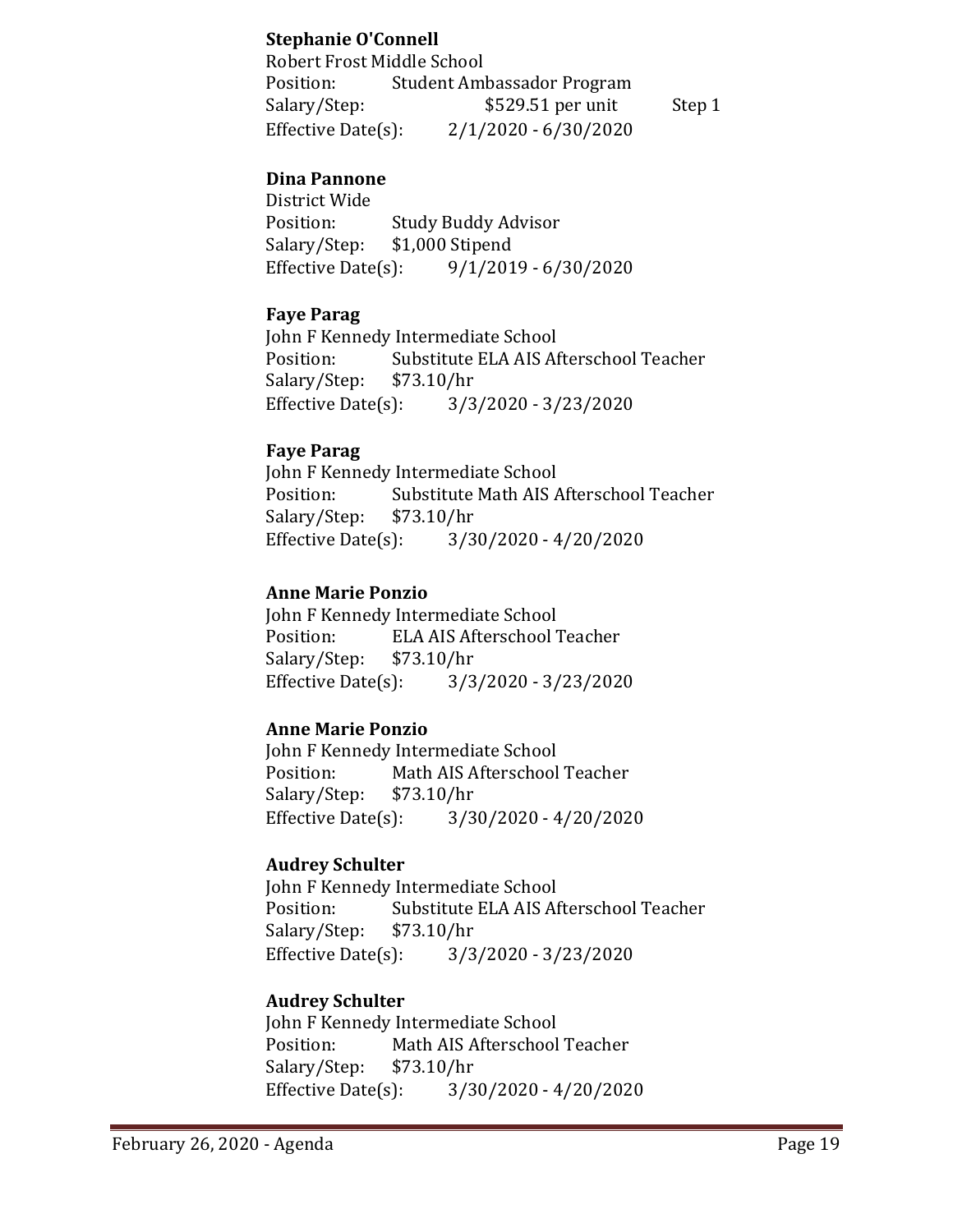## **Stephanie O'Connell**

| Robert Frost Middle School |                            |        |
|----------------------------|----------------------------|--------|
| Position:                  | Student Ambassador Program |        |
| Salary/Step:               | \$529.51 per unit          | Step 1 |
| Effective Date $(s)$ :     | $2/1/2020 - 6/30/2020$     |        |

## **Dina Pannone**

District Wide Position: Study Buddy Advisor<br>Salary/Step: \$1,000 Stipend \$1,000 Stipend Effective Date(s): 9/1/2019 - 6/30/2020

### **Faye Parag**

John F Kennedy Intermediate School<br>Position: Substitute ELA AIS Af Substitute ELA AIS Afterschool Teacher<br>\$73.10/hr Salary/Step: Effective Date(s): 3/3/2020 - 3/23/2020

### **Faye Parag**

John F Kennedy Intermediate School<br>Position: Substitute Math AIS A Substitute Math AIS Afterschool Teacher<br>\$73.10/hr Salary/Step: \$7<br>Effective Date(s): Effective Date(s): 3/30/2020 - 4/20/2020

### **Anne Marie Ponzio**

John F Kennedy Intermediate School ELA AIS Afterschool Teacher<br>\$73.10/hr Salary/Step: Effective Date(s): 3/3/2020 - 3/23/2020

### **Anne Marie Ponzio**

John F Kennedy Intermediate School<br>Position: Math AIS Afterschool Math AIS Afterschool Teacher<br>\$73.10/hr Salary/Step: \$7.<br>Effective Date(s):  $3/30/2020 - 4/20/2020$ 

### **Audrey Schulter**

John F Kennedy Intermediate School<br>Position: Substitute ELA AIS Af Substitute ELA AIS Afterschool Teacher<br>\$73.10/hr Salary/Step: Effective Date(s): 3/3/2020 - 3/23/2020

## **Audrey Schulter**

John F Kennedy Intermediate School<br>Position: Math AIS Afterschool Math AIS Afterschool Teacher<br>\$73.10/hr Salary/Step: Effective Date(s): 3/30/2020 - 4/20/2020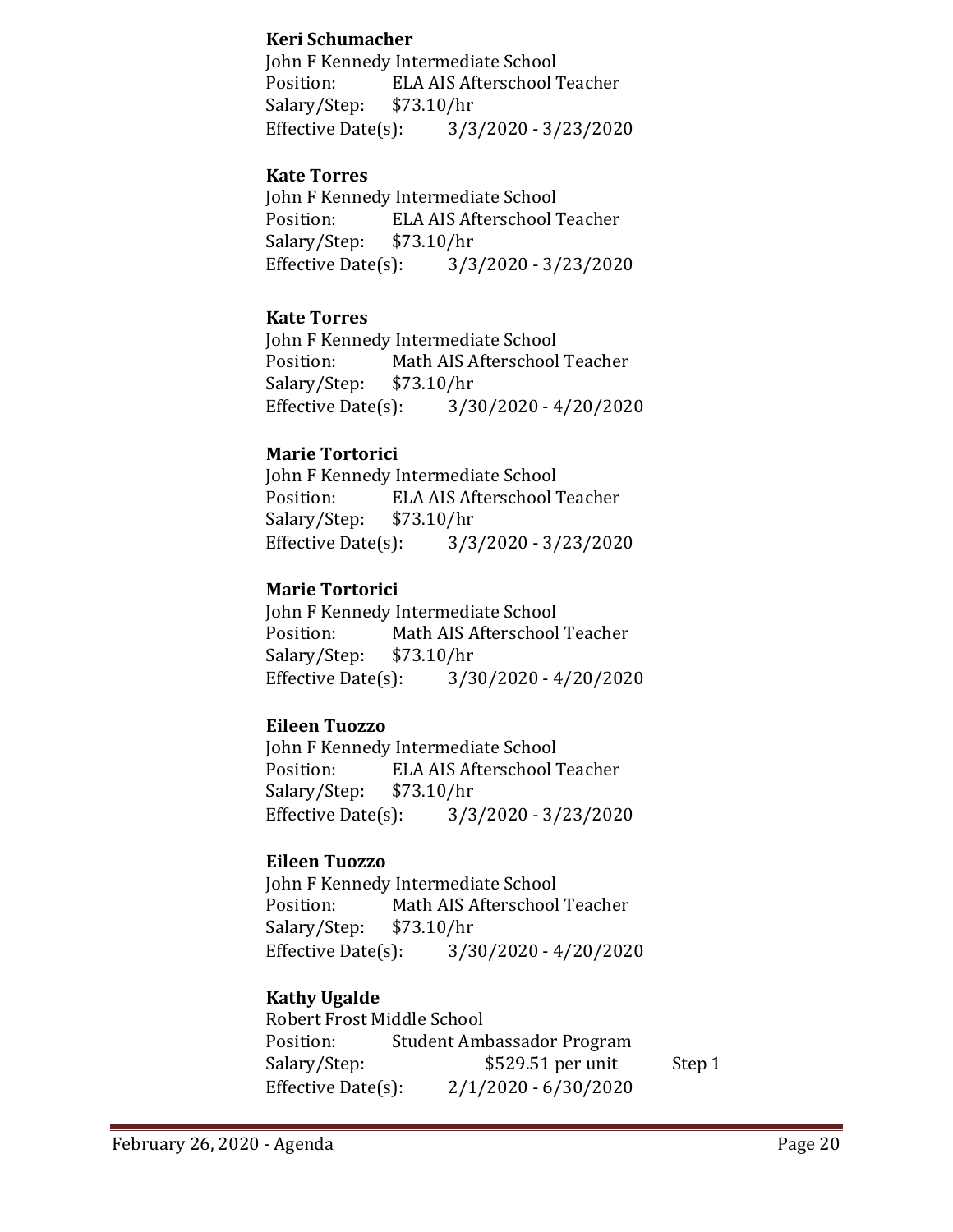## **Keri Schumacher**

John F Kennedy Intermediate School Position: ELA AIS Afterschool Teacher<br>Salary/Step: \$73.10/hr Salary/Step: \$7<br>Effective Date(s): Effective Date(s): 3/3/2020 - 3/23/2020

## **Kate Torres**

John F Kennedy Intermediate School<br>Position: ELA AIS Afterschool ELA AIS Afterschool Teacher<br>\$73.10/hr Salary/Step: \$7<br>Effective Date(s): Effective Date(s): 3/3/2020 - 3/23/2020

## **Kate Torres**

John F Kennedy Intermediate School<br>Position: Math AIS Afterschool Math AIS Afterschool Teacher<br>\$73.10/hr Salary/Step: \$7<br>Effective Date(s):  $3/30/2020 - 4/20/2020$ 

## **Marie Tortorici**

John F Kennedy Intermediate School<br>Position: ELA AIS Afterschool 7 ELA AIS Afterschool Teacher<br>\$73.10/hr Salary/Step: \$7<br>Effective Date(s): Effective Date(s): 3/3/2020 - 3/23/2020

## **Marie Tortorici**

John F Kennedy Intermediate School<br>Position: Math AIS Afterschool Math AIS Afterschool Teacher<br>\$73.10/hr Salary/Step: \$7<br>Effective Date(s): Effective Date(s): 3/30/2020 - 4/20/2020

## **Eileen Tuozzo**

John F Kennedy Intermediate School<br>Position: ELA AIS Afterschool ELA AIS Afterschool Teacher<br>\$73.10/hr Salary/Step: \$7<br>Effective Date(s): Effective Date(s): 3/3/2020 - 3/23/2020

### **Eileen Tuozzo**

John F Kennedy Intermediate School<br>Position: Math AIS Afterschool Math AIS Afterschool Teacher<br>\$73.10/hr Salary/Step: \$7<br>Effective Date(s):  $3/30/2020 - 4/20/2020$ 

## **Kathy Ugalde**

Robert Frost Middle School<br>Position: Student Aml Position: Student Ambassador Program<br>Salary/Step: \$529.51 per unit  $$529.51$  per unit Step 1 Effective Date(s): 2/1/2020 - 6/30/2020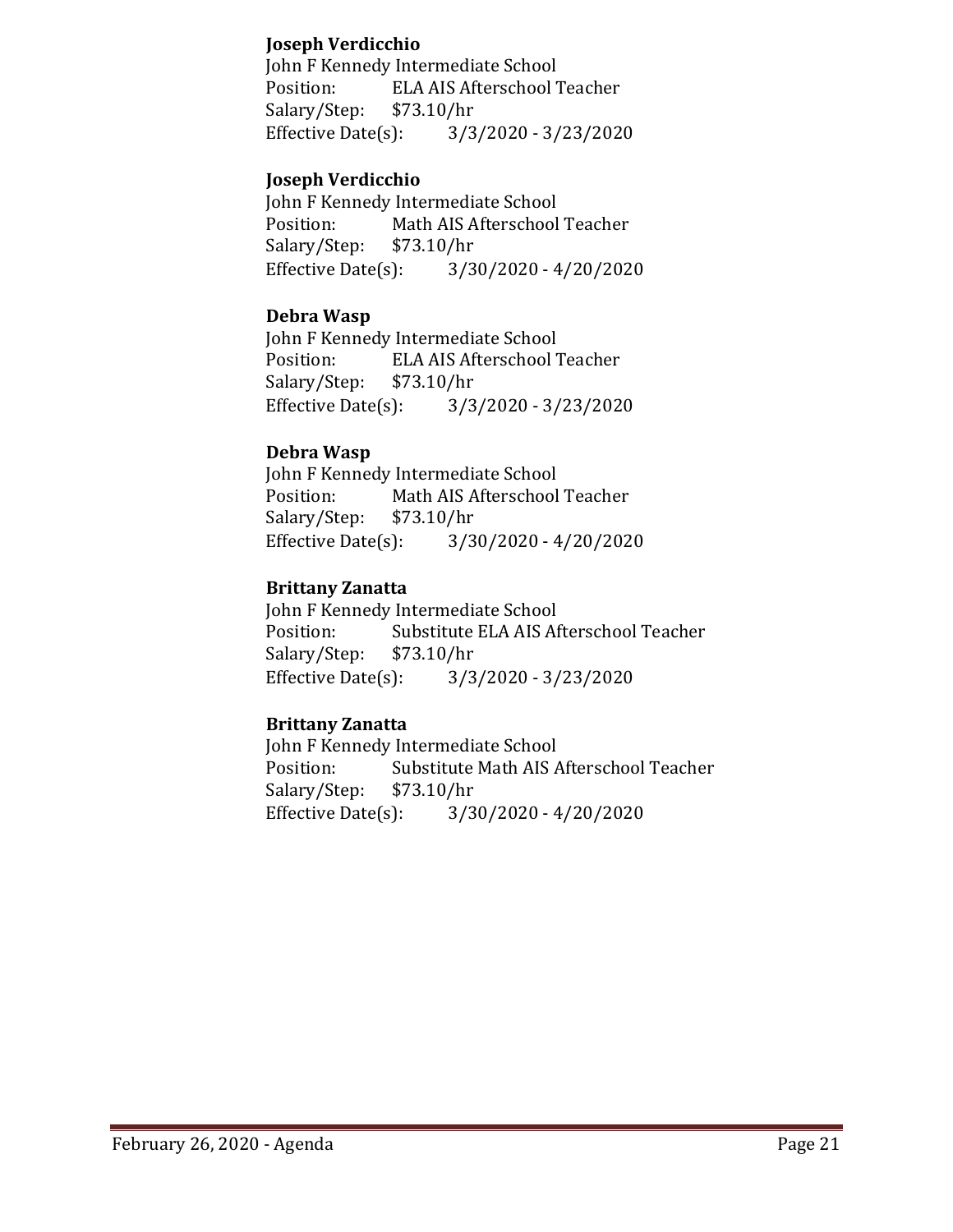## **Joseph Verdicchio**

John F Kennedy Intermediate School ELA AIS Afterschool Teacher<br>\$73.10/hr Salary/Step: \$7.<br>Effective Date(s): Effective Date(s): 3/3/2020 - 3/23/2020

## **Joseph Verdicchio**

John F Kennedy Intermediate School<br>Position: Math AIS Afterschool Math AIS Afterschool Teacher<br>\$73.10/hr Salary/Step: \$7<br>Effective Date(s):  $3/30/2020 - 4/20/2020$ 

## **Debra Wasp**

John F Kennedy Intermediate School<br>Position: ELA AIS Afterschool 7 ELA AIS Afterschool Teacher<br>\$73.10/hr Salary/Step: \$7<br>Effective Date(s): Effective Date(s): 3/3/2020 - 3/23/2020

### **Debra Wasp**

John F Kennedy Intermediate School<br>Position: Math AIS Afterschool Math AIS Afterschool Teacher<br>\$73.10/hr Salary/Step: \$7<br>Effective Date(s):  $3/30/2020 - 4/20/2020$ 

## **Brittany Zanatta**

John F Kennedy Intermediate School<br>Position: Substitute ELA AIS Af Substitute ELA AIS Afterschool Teacher<br>\$73.10/hr Salary/Step: \$7<br>Effective Date(s): Effective Date(s): 3/3/2020 - 3/23/2020

## **Brittany Zanatta**

John F Kennedy Intermediate School<br>Position: Substitute Math AIS A Substitute Math AIS Afterschool Teacher<br>\$73.10/hr Salary/Step: \$7<br>Effective Date(s):  $3/30/2020 - 4/20/2020$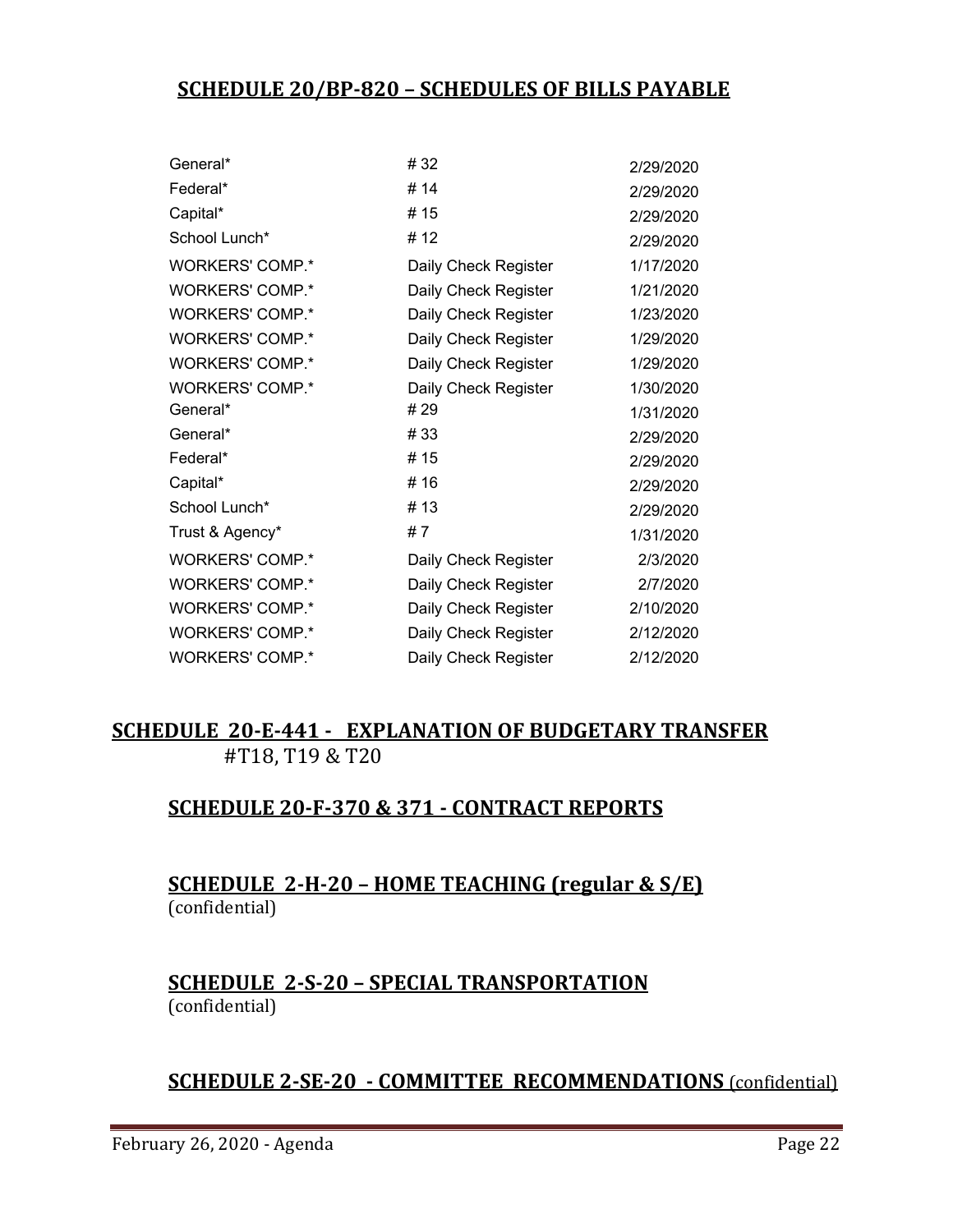# **SCHEDULE 20/BP-820 – SCHEDULES OF BILLS PAYABLE**

| General*               | #32                  | 2/29/2020 |
|------------------------|----------------------|-----------|
| Federal*               | #14                  | 2/29/2020 |
| Capital*               | # 15                 | 2/29/2020 |
| School Lunch*          | #12                  | 2/29/2020 |
| <b>WORKERS' COMP.*</b> | Daily Check Register | 1/17/2020 |
| <b>WORKERS' COMP.*</b> | Daily Check Register | 1/21/2020 |
| <b>WORKERS' COMP.*</b> | Daily Check Register | 1/23/2020 |
| <b>WORKERS' COMP.*</b> | Daily Check Register | 1/29/2020 |
| <b>WORKERS' COMP.*</b> | Daily Check Register | 1/29/2020 |
| <b>WORKERS' COMP.*</b> | Daily Check Register | 1/30/2020 |
| General*               | # 29                 | 1/31/2020 |
| General*               | #33                  | 2/29/2020 |
| Federal*               | # 15                 | 2/29/2020 |
| Capital*               | #16                  | 2/29/2020 |
| School Lunch*          | # 13                 | 2/29/2020 |
| Trust & Agency*        | #7                   | 1/31/2020 |
| <b>WORKERS' COMP.*</b> | Daily Check Register | 2/3/2020  |
| WORKERS' COMP.*        | Daily Check Register | 2/7/2020  |
| <b>WORKERS' COMP.*</b> | Daily Check Register | 2/10/2020 |
| <b>WORKERS' COMP.*</b> | Daily Check Register | 2/12/2020 |
| <b>WORKERS' COMP.*</b> | Daily Check Register | 2/12/2020 |
|                        |                      |           |

# **SCHEDULE 20-E-441 - EXPLANATION OF BUDGETARY TRANSFER** #T18, T19 & T20

# **SCHEDULE 20-F-370 & 371 - CONTRACT REPORTS**

# **SCHEDULE 2-H-20 – HOME TEACHING (regular & S/E)**  (confidential)

# **SCHEDULE 2-S-20 – SPECIAL TRANSPORTATION**  (confidential)

# **SCHEDULE 2-SE-20 - COMMITTEE RECOMMENDATIONS** (confidential)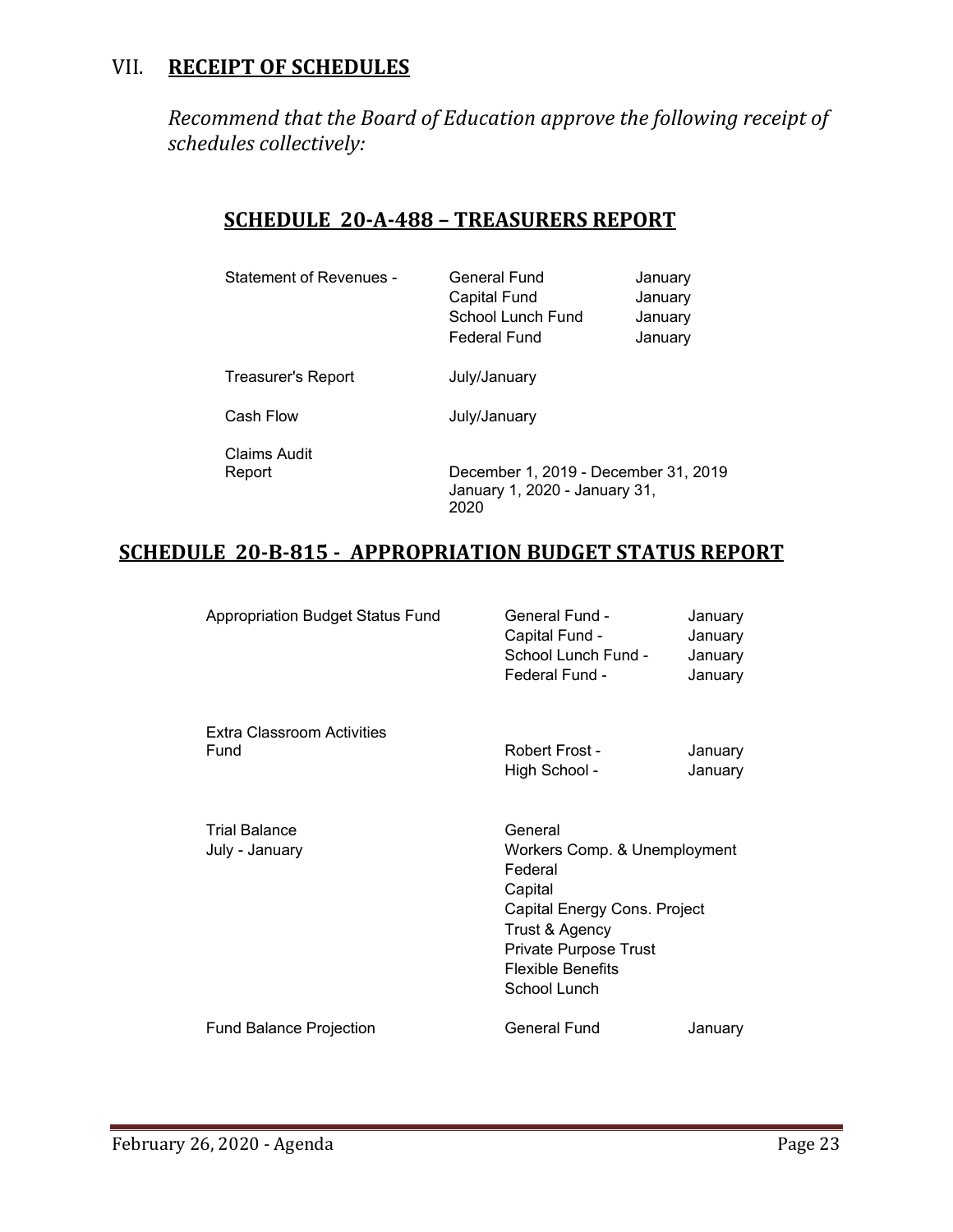# VII. **RECEIPT OF SCHEDULES**

*Recommend that the Board of Education approve the following receipt of schedules collectively:*

# **SCHEDULE 20-A-488 – TREASURERS REPORT**

| <b>Statement of Revenues -</b> | General Fund<br><b>Capital Fund</b><br>School Lunch Fund<br>Federal Fund | January<br>January<br>January<br>January |
|--------------------------------|--------------------------------------------------------------------------|------------------------------------------|
| Treasurer's Report             | July/January                                                             |                                          |
| Cash Flow                      | July/January                                                             |                                          |
| Claims Audit<br>Report         | December 1, 2019 - December 31, 2019<br>January 1, 2020 - January 31,    |                                          |

# **SCHEDULE 20-B-815 - APPROPRIATION BUDGET STATUS REPORT**

2020

| Appropriation Budget Status Fund       | <b>General Fund -</b><br>Capital Fund -<br>School Lunch Fund -<br>Federal Fund -                                                                                                     | January<br>January<br>January<br>January |
|----------------------------------------|--------------------------------------------------------------------------------------------------------------------------------------------------------------------------------------|------------------------------------------|
| Extra Classroom Activities<br>Fund     | Robert Frost -<br>High School -                                                                                                                                                      | January<br>January                       |
| <b>Trial Balance</b><br>July - January | General<br>Workers Comp. & Unemployment<br>Federal<br>Capital<br>Capital Energy Cons. Project<br>Trust & Agency<br>Private Purpose Trust<br><b>Flexible Benefits</b><br>School Lunch |                                          |
| <b>Fund Balance Projection</b>         | General Fund                                                                                                                                                                         | January                                  |